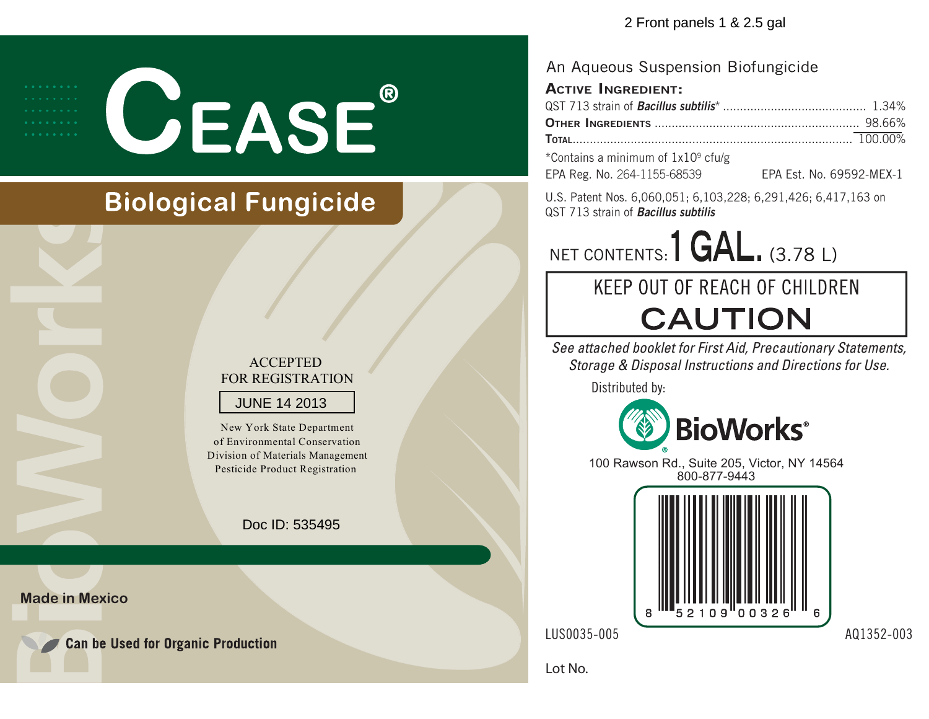**CEASE®** 

## **Biological Fungicide**

### ACCEPTED FOR REGISTRATION

### JUNE 14 2013

New York State Departmentof Environmental Conservation Division of Materials ManagementPesticide Product Registration

Doc ID: 535495

**Made in Mexico** 

**Can be Used for Organic Production** 

### An Aqueous Suspension Biofungicide

### **ACTIVE INGREDIENT:**

| $\mathbf{a}$ . The state of the state $\mathbf{a}$ and $\mathbf{a}$ and $\mathbf{a}$ and $\mathbf{a}$ and $\mathbf{a}$ and $\mathbf{a}$ and $\mathbf{a}$ and $\mathbf{a}$ and $\mathbf{a}$ and $\mathbf{a}$ and $\mathbf{a}$ and $\mathbf{a}$ and $\mathbf{a}$ and $\mathbf{a}$ and $\mathbf{$ |  |
|------------------------------------------------------------------------------------------------------------------------------------------------------------------------------------------------------------------------------------------------------------------------------------------------|--|

\*Contains a minimum of  $1x10<sup>9</sup>$  cfu/g EPA Reg. No. 264-1155-68539

|  |  | EPA Est. No. 69592-MEX-1 |
|--|--|--------------------------|
|  |  |                          |

U.S. Patent Nos. 6,060,051; 6,103,228; 6,291,426; 6,417,163 on QST 713 strain of *Bacillus subtilis*

NET CONTENTS: 1 GAL. (3.78 L)

# KEEP OUT OF REACH OF CHILDREN **CAUTION**

See attached booklet for First Aid, Precautionary Statements, Storage & Disposal Instructions and Directions for Use.

Distributed by:



100 Rawson Rd., Suite 205, Victor, NY 14564 800-877-9443



Lot No.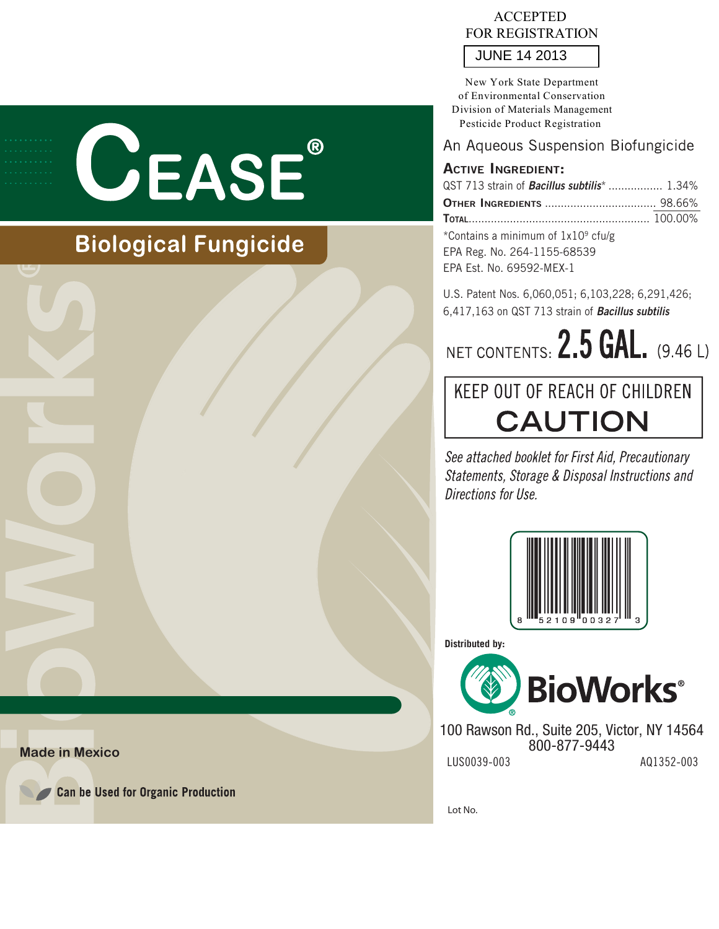

## **Biological Fungicide**

### ACCEPTED FOR REGISTRATION

JUNE 14 2013

New York State Department of Environmental Conservation Division of Materials Management Pesticide Product Registration

### An Aqueous Suspension Biofungicide

### **ACTIVE INGREDIENT:**

| QST 713 strain of <b>Bacillus subtilis</b> *  1.34% |  |
|-----------------------------------------------------|--|
|                                                     |  |
|                                                     |  |
| *Contains a minimum of 1x10 <sup>9</sup> cfulg      |  |

\*Contains a minimum of 1x109 cfu/g EPA Est. No. 69592-MEX-1

U.S. Patent Nos. 6,060,051; 6,103,228; 6,291,426; 6,417,163 on QST 713 strain of *Bacillus subtilis*

NET CONTENTS:  $2.5$  GAL, (9.46 L)

## **KEEP OUT OF REACH OF CHILDREN CAUTION**

See attached booklet for First Aid, Precautionary Statements, Storage & Disposal Instructions and Directions for Use.



**Distributed by:**



LUS0039-003 AQ1352-003 100 Rawson Rd., Suite 205, Victor, NY 14564 800-877-9443

Lot No.

**Made in Mexico** 



**Can be Used for Organic Production**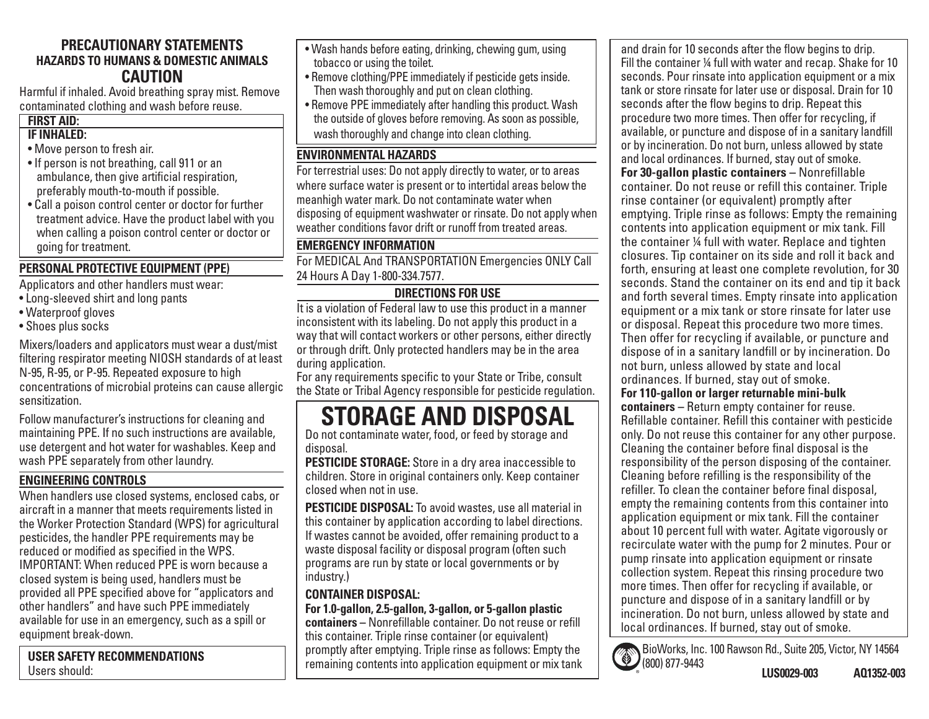### **PRECAUTIONARY STATEMENTSHAZARDS TO HUMANS & DOMESTIC ANIMALSCAUTION**

 Harmful if inhaled. Avoid breathing spray mist. Remove contaminated clothing and wash before reuse.

## **FIRST AID:**

### **IF INHALED:**

- Move person to fresh air.
- If person is not breathing, call 911 or an ambulance, then give artificial respiration, preferably mouth-to-mouth if possible.
- Call a poison control center or doctor for further treatment advice. Have the product label with you when calling a poison control center or doctor or going for treatment.

### **PERSONAL PROTECTIVE EQUIPMENT (PPE)**

Applicators and other handlers must wear:

- Long-sleeved shirt and long pants
- Waterproof gloves
- Shoes plus socks

Mixers/loaders and applicators must wear a dust/mist filtering respirator meeting NIOSH standards of at least N-95, R-95, or P-95. Repeated exposure to high concentrations of microbial proteins can cause allergic sensitization.

Follow manufacturer's instructions for cleaning and maintaining PPE. If no such instructions are available, use detergent and hot water for washables. Keep and wash PPE separately from other laundry.

### **ENGINEERING CONTROLS**

When handlers use closed systems, enclosed cabs, or aircraft in a manner that meets requirements listed in the Worker Protection Standard (WPS) for agricultural pesticides, the handler PPE requirements may be reduced or modified as specified in the WPS. IMPORTANT: When reduced PPE is worn because a closed system is being used, handlers must be provided all PPE specified above for "applicators and other handlers" and have such PPE immediately available for use in an emergency, such as a spill or equipment break-down.

**USER SAFETY RECOMMENDATIONS**Users should:

- Wash hands before eating, drinking, chewing gum, using tobacco or using the toilet.
- Remove clothing/PPE immediately if pesticide gets inside. Then wash thoroughly and put on clean clothing.
- Remove PPE immediately after handling this product. Wash the outside of gloves before removing. As soon as possible, wash thoroughly and change into clean clothing.

### **ENVIRONMENTAL HAZARDS**

For terrestrial uses: Do not apply directly to water, or to areas where surface water is present or to intertidal areas below the meanhigh water mark. Do not contaminate water when disposing of equipment washwater or rinsate. Do not apply when weather conditions favor drift or runoff from treated areas.

### **EMERGENCY INFORMATION**

For MEDICAL And TRANSPORTATION Emergencies ONLY Call 24 Hours A Day 1-800-334.7577.

### **DIRECTIONS FOR USE**

It is a violation of Federal law to use this product in a manner inconsistent with its labeling. Do not apply this product in a way that will contact workers or other persons, either directly or through drift. Only protected handlers may be in the area during application.

For any requirements specific to your State or Tribe, consult the State or Tribal Agency responsible for pesticide regulation.

## **STORAGE AND DISPOSAL**

Do not contaminate water, food, or feed by storage and disposal.

**PESTICIDE STORAGE:** Store in a dry area inaccessible to children. Store in original containers only. Keep container closed when not in use.

**PESTICIDE DISPOSAL:** To avoid wastes, use all material in this container by application according to label directions. If wastes cannot be avoided, offer remaining product to a waste disposal facility or disposal program (often such programs are run by state or local governments or by industry.)

### **CONTAINER DISPOSAL:**

**For 1.0-gallon, 2.5-gallon, 3-gallon, or 5-gallon plastic containers –** Nonrefillable container. Do not reuse or refill this container. Triple rinse container (or equivalent) promptly after emptying. Triple rinse as follows: Empty the remaining contents into application equipment or mix tank and drain for 10 seconds after the flow begins to drip. Fill the container  $\frac{1}{4}$  full with water and recap. Shake for 10 seconds. Pour rinsate into application equipment or a mix tank or store rinsate for later use or disposal. Drain for 10 seconds after the flow begins to drip. Repeat this procedure two more times. Then offer for recycling, if available, or puncture and dispose of in a sanitary landfill or by incineration. Do not burn, unless allowed by state and local ordinances. If burned, stay out of smoke. **For 30-gallon plastic containers –** Nonrefillable container. Do not reuse or refill this container. Triple rinse container (or equivalent) promptly after emptying. Triple rinse as follows: Empty the remaining contents into application equipment or mix tank. Fill the container ¼ full with water. Replace and tighten closures. Tip container on its side and roll it back and forth, ensuring at least one complete revolution, for 30 seconds. Stand the container on its end and tip it back and forth several times. Empty rinsate into application equipment or a mix tank or store rinsate for later use or disposal. Repeat this procedure two more times. Then offer for recycling if available, or puncture and dispose of in a sanitary landfill or by incineration. Do not burn, unless allowed by state and local ordinances. If burned, stay out of smoke. **For 110-gallon or larger returnable mini-bulk containers –** Return empty container for reuse. Refillable container. Refill this container with pesticide only. Do not reuse this container for any other purpose. Cleaning the container before final disposal is the responsibility of the person disposing of the container. Cleaning before refilling is the responsibility of the refiller. To clean the container before final disposal. empty the remaining contents from this container into application equipment or mix tank. Fill the container about 10 percent full with water. Agitate vigorously or recirculate water with the pump for 2 minutes. Pour or pump rinsate into application equipment or rinsate collection system. Repeat this rinsing procedure two more times. Then offer for recycling if available, or puncture and dispose of in a sanitary landfill or by incineration. Do not burn, unless allowed by state and local ordinances. If burned, stay out of smoke.

BioWorks, Inc. 100 Rawson Rd., Suite 205, Victor, NY 14564  $\bullet$ (800) 877-9443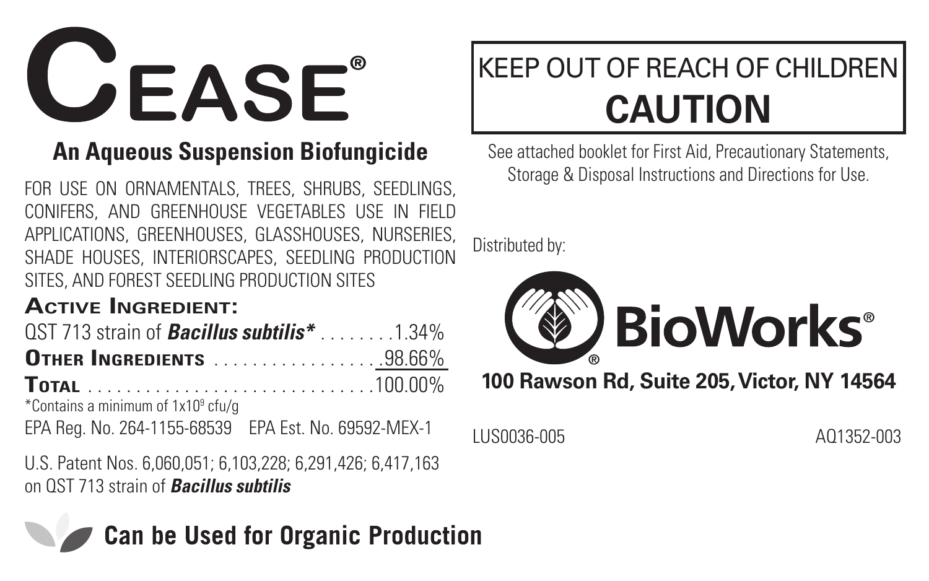**CEASE®** 

### **An Aqueous Suspension Biofungicide**

FOR USE ON ORNAMENTALS, TREES, SHRUBS, SEEDLINGS, CONIFERS, AND GREENHOUSE VEGETABLES USE IN FIELD APPLICATIONS, GREENHOUSES, GLASSHOUSES, NURSERIES, SHADE HOUSES, INTERIORSCAPES, SEEDLING PRODUCTION SITES, AND FOREST SEEDLING PRODUCTION SITES

#### **Active Ingredient:**

| $QST$ 713 strain of <b>Bacillus subtilis</b> *1.34%                                                                                                                                                                                                                                                                                                 |  |
|-----------------------------------------------------------------------------------------------------------------------------------------------------------------------------------------------------------------------------------------------------------------------------------------------------------------------------------------------------|--|
| <b>OTHER INGREDIENTS</b> 98.66%                                                                                                                                                                                                                                                                                                                     |  |
|                                                                                                                                                                                                                                                                                                                                                     |  |
| *Contains a minimum of 1x10 <sup>9</sup> cfu/g                                                                                                                                                                                                                                                                                                      |  |
| $\overline{a}$ , $\overline{b}$ , $\overline{a}$ , $\overline{a}$ , $\overline{a}$ , $\overline{a}$ , $\overline{a}$ , $\overline{a}$ , $\overline{a}$ , $\overline{a}$ , $\overline{a}$ , $\overline{a}$ , $\overline{a}$ , $\overline{a}$ , $\overline{a}$ , $\overline{a}$ , $\overline{a}$ , $\overline{a}$ , $\overline{a}$ , $\overline{a}$ , |  |

EPA Reg. No. 264-1155-68539 EPA Est. No. 69592-MEX-1

U.S. Patent Nos. 6,060,051; 6,103,228; 6,291,426; 6,417,163 on QST 713 strain of *Bacillus subtilis*

**Can be Used for Organic Production** 

### KEEP OUT OF REACH OF CHILDREN **CAUTION**

See attached booklet for First Aid, Precautionary Statements, Storage & Disposal Instructions and Directions for Use.

Distributed by:



LUS0036-005 AQ1352-003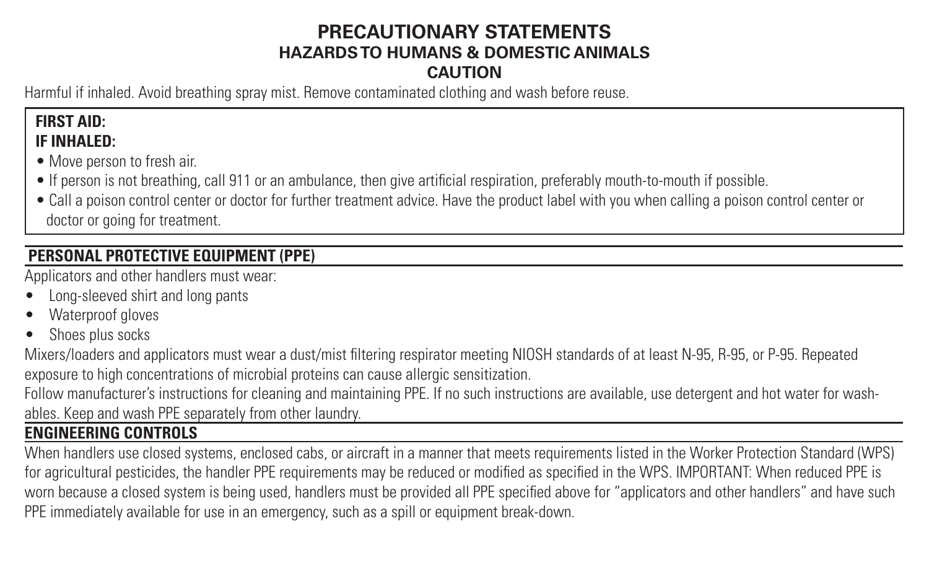#### **PRECAUTIONARY STATEMENTS HAZARDS TO HUMANS & DOMESTIC ANIMALS CAUTION**

Harmful if inhaled. Avoid breathing spray mist. Remove contaminated clothing and wash before reuse.

#### **FIRST AID: IF INHALED:**

- Move person to fresh air.
- If person is not breathing, call 911 or an ambulance, then give artificial respiration, preferably mouth-to-mouth if possible.

• Call a poison control center or doctor for further treatment advice. Have the product label with you when calling a poison control center or doctor or going for treatment.

#### **PERSONAL PROTECTIVE EQUIPMENT (PPE)**

Applicators and other handlers must wear:

- Long-sleeved shirt and long pants
- Waterproof gloves
- Shoes plus socks

Mixers/loaders and applicators must wear a dust/mist filtering respirator meeting NIOSH standards of at least N-95, R-95, or P-95. Repeated exposure to high concentrations of microbial proteins can cause allergic sensitization.

Follow manufacturer's instructions for cleaning and maintaining PPE. If no such instructions are available, use detergent and hot water for washables. Keep and wash PPE separately from other laundry.

#### **ENGINEERING CONTROLS**

When handlers use closed systems, enclosed cabs, or aircraft in a manner that meets requirements listed in the Worker Protection Standard (WPS) for agricultural pesticides, the handler PPE requirements may be reduced or modified as specified in the WPS. IMPORTANT: When reduced PPE is worn because a closed system is being used, handlers must be provided all PPE specified above for "applicators and other handlers" and have such PPE immediately available for use in an emergency, such as a spill or equipment break-down.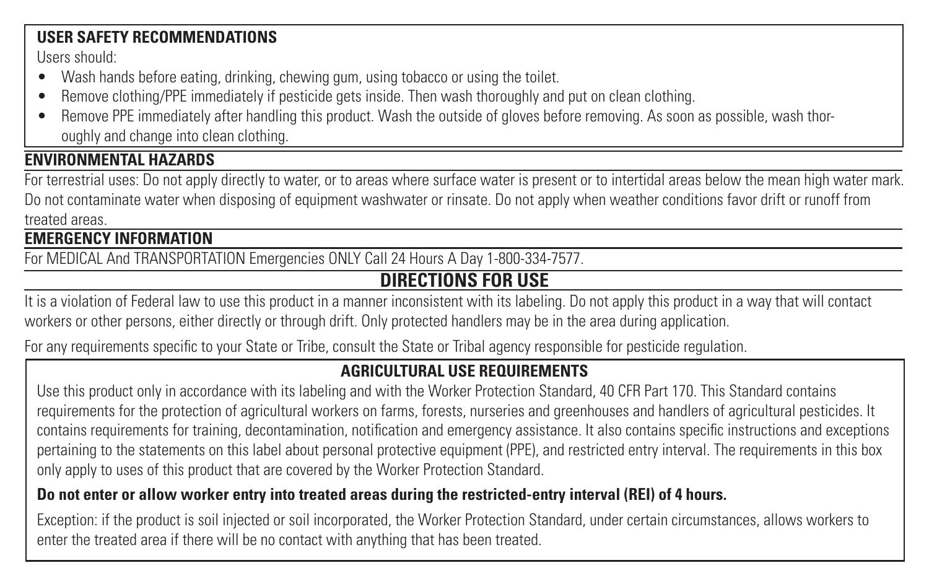#### **USER SAFETY RECOMMENDATIONS**

Users should:

- Wash hands before eating, drinking, chewing gum, using tobacco or using the toilet.
- Remove clothing/PPE immediately if pesticide gets inside. Then wash thoroughly and put on clean clothing.
- Remove PPE immediately after handling this product. Wash the outside of gloves before removing. As soon as possible, wash thoroughly and change into clean clothing.

#### **ENVIRONMENTAL HAZARDS**

For terrestrial uses: Do not apply directly to water, or to areas where surface water is present or to intertidal areas below the mean high water mark. Do not contaminate water when disposing of equipment washwater or rinsate. Do not apply when weather conditions favor drift or runoff from treated areas.

#### **EMERGENCY INFORMATION**

For MEDICAL And TRANSPORTATION Emergencies ONLY Call 24 Hours A Day 1-800-334-7577.

#### **DIRECTIONS FOR USE**

It is a violation of Federal law to use this product in a manner inconsistent with its labeling. Do not apply this product in a way that will contact workers or other persons, either directly or through drift. Only protected handlers may be in the area during application.

For any requirements specific to your State or Tribe, consult the State or Tribal agency responsible for pesticide regulation.

#### **AGRICULTURAL USE REQUIREMENTS**

Use this product only in accordance with its labeling and with the Worker Protection Standard, 40 CFR Part 170. This Standard contains requirements for the protection of agricultural workers on farms, forests, nurseries and greenhouses and handlers of agricultural pesticides. It contains requirements for training, decontamination, notification and emergency assistance. It also contains specific instructions and exceptions pertaining to the statements on this label about personal protective equipment (PPE), and restricted entry interval. The requirements in this box only apply to uses of this product that are covered by the Worker Protection Standard.

#### **Do not enter or allow worker entry into treated areas during the restricted-entry interval (REI) of 4 hours.**

Exception: if the product is soil injected or soil incorporated, the Worker Protection Standard, under certain circumstances, allows workers to enter the treated area if there will be no contact with anything that has been treated.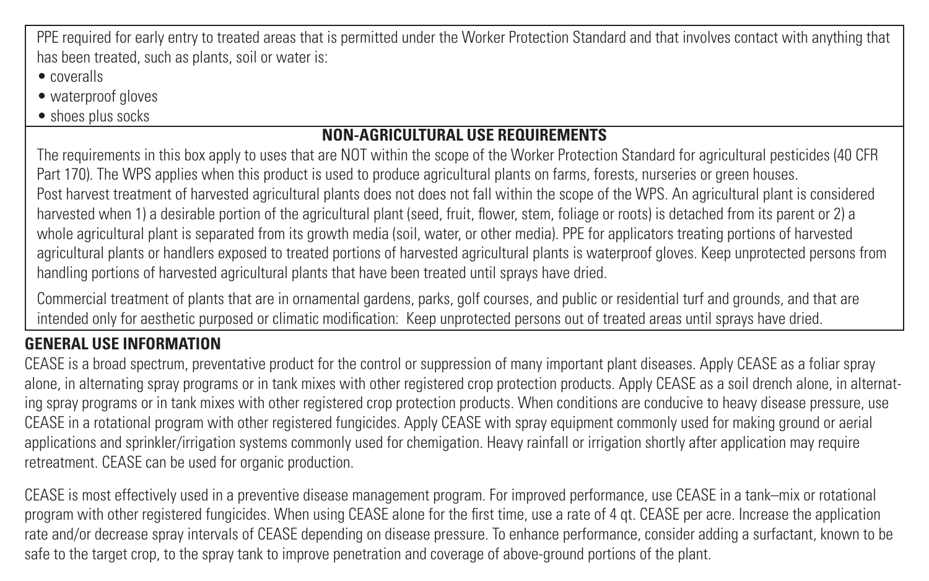PPE required for early entry to treated areas that is permitted under the Worker Protection Standard and that involves contact with anything that has been treated, such as plants, soil or water is:

- coveralls
- waterproof gloves
- shoes plus socks

#### **NON-AGRICULTURAL USE REQUIREMENTS**

The requirements in this box apply to uses that are NOT within the scope of the Worker Protection Standard for agricultural pesticides (40 CFR Part 170). The WPS applies when this product is used to produce agricultural plants on farms, forests, nurseries or green houses. Post harvest treatment of harvested agricultural plants does not does not fall within the scope of the WPS. An agricultural plant is considered harvested when 1) a desirable portion of the agricultural plant (seed, fruit, flower, stem, foliage or roots) is detached from its parent or 2) a whole agricultural plant is separated from its growth media (soil, water, or other media). PPF for applicators treating portions of harvested

agricultural plants or handlers exposed to treated portions of harvested agricultural plants is waterproof gloves. Keep unprotected persons from handling portions of harvested agricultural plants that have been treated until sprays have dried.

Commercial treatment of plants that are in ornamental gardens, parks, golf courses, and public or residential turf and grounds, and that are intended only for aesthetic purposed or climatic modification: Keep unprotected persons out of treated areas until sprays have dried.

#### **GENERAL USE INFORMATION**

CEASE is a broad spectrum, preventative product for the control or suppression of many important plant diseases. Apply CEASE as a foliar spray alone, in alternating spray programs or in tank mixes with other registered crop protection products. Apply CEASE as a soil drench alone, in alternating spray programs or in tank mixes with other registered crop protection products. When conditions are conducive to heavy disease pressure, use CEASE in a rotational program with other registered fungicides. Apply CEASE with spray equipment commonly used for making ground or aerial applications and sprinkler/irrigation systems commonly used for chemigation. Heavy rainfall or irrigation shortly after application may require retreatment. CEASE can be used for organic production.

CEASE is most effectively used in a preventive disease management program. For improved performance, use CEASE in a tank–mix or rotational program with other registered fungicides. When using CEASE alone for the first time, use a rate of 4 qt. CEASE per acre. Increase the application rate and/or decrease spray intervals of CEASE depending on disease pressure. To enhance performance, consider adding a surfactant, known to be safe to the target crop, to the spray tank to improve penetration and coverage of above-ground portions of the plant.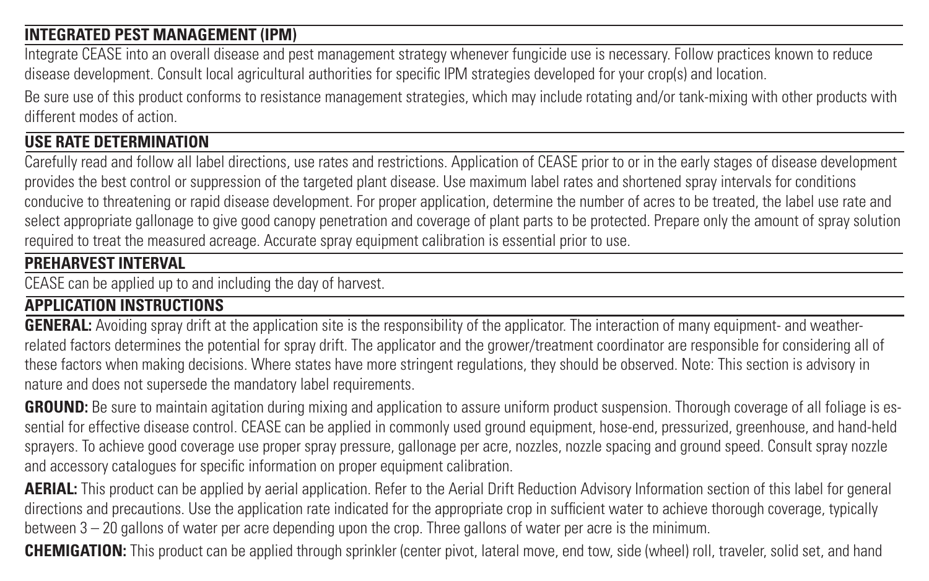#### **INTEGRATED PEST MANAGEMENT (IPM)**

Integrate CEASE into an overall disease and pest management strategy whenever fungicide use is necessary. Follow practices known to reduce disease development. Consult local agricultural authorities for specific IPM strategies developed for your crop(s) and location.

Be sure use of this product conforms to resistance management strategies, which may include rotating and/or tank-mixing with other products with different modes of action.

#### **USE RATE DETERMINATION**

Carefully read and follow all label directions, use rates and restrictions. Application of CEASE prior to or in the early stages of disease development provides the best control or suppression of the targeted plant disease. Use maximum label rates and shortened spray intervals for conditions conducive to threatening or rapid disease development. For proper application, determine the number of acres to be treated, the label use rate and select appropriate gallonage to give good canopy penetration and coverage of plant parts to be protected. Prepare only the amount of spray solution required to treat the measured acreage. Accurate spray equipment calibration is essential prior to use.

#### **PREHARVEST INTERVAL**

CEASE can be applied up to and including the day of harvest.

#### **APPLICATION INSTRUCTIONS**

**GENERAL:** Avoiding spray drift at the application site is the responsibility of the applicator. The interaction of many equipment- and weatherrelated factors determines the potential for spray drift. The applicator and the grower/treatment coordinator are responsible for considering all of these factors when making decisions. Where states have more stringent regulations, they should be observed. Note: This section is advisory in nature and does not supersede the mandatory label requirements.

GROUND: Be sure to maintain agitation during mixing and application to assure uniform product suspension. Thorough coverage of all foliage is essential for effective disease control. CEASE can be applied in commonly used ground equipment, hose-end, pressurized, greenhouse, and hand-held sprayers. To achieve good coverage use proper spray pressure, gallonage per acre, nozzles, nozzle spacing and ground speed. Consult spray nozzle and accessory catalogues for specific information on proper equipment calibration.

**AERIAL:** This product can be applied by aerial application. Refer to the Aerial Drift Reduction Advisory Information section of this label for general directions and precautions. Use the application rate indicated for the appropriate crop in sufficient water to achieve thorough coverage, typically between 3 – 20 gallons of water per acre depending upon the crop. Three gallons of water per acre is the minimum.

**CHEMIGATION:** This product can be applied through sprinkler (center pivot, lateral move, end tow, side (wheel) roll, traveler, solid set, and hand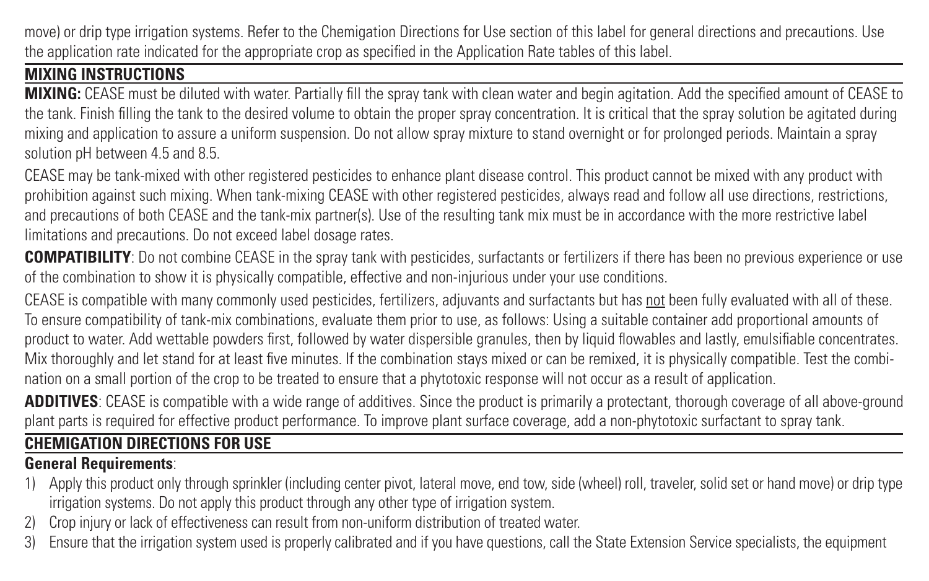move) or drip type irrigation systems. Refer to the Chemigation Directions for Use section of this label for general directions and precautions. Use the application rate indicated for the appropriate crop as specified in the Application Rate tables of this label.

#### **MIXING INSTRUCTIONS**

**MIXING:** CEASE must be diluted with water. Partially fill the spray tank with clean water and begin agitation. Add the specified amount of CEASE to the tank. Finish filling the tank to the desired volume to obtain the proper spray concentration. It is critical that the spray solution be agitated during mixing and application to assure a uniform suspension. Do not allow spray mixture to stand overnight or for prolonged periods. Maintain a spray solution pH between 4.5 and 8.5.

CEASE may be tank-mixed with other registered pesticides to enhance plant disease control. This product cannot be mixed with any product with prohibition against such mixing. When tank-mixing CEASE with other registered pesticides, always read and follow all use directions, restrictions, and precautions of both CEASE and the tank-mix partner(s). Use of the resulting tank mix must be in accordance with the more restrictive label limitations and precautions. Do not exceed label dosage rates.

**COMPATIBILITY**: Do not combine CEASE in the spray tank with pesticides, surfactants or fertilizers if there has been no previous experience or use of the combination to show it is physically compatible, effective and non-injurious under your use conditions.

CEASE is compatible with many commonly used pesticides, fertilizers, adjuvants and surfactants but has not been fully evaluated with all of these. To ensure compatibility of tank-mix combinations, evaluate them prior to use, as follows: Using a suitable container add proportional amounts of product to water. Add wettable powders first, followed by water dispersible granules, then by liquid flowables and lastly, emulsifiable concentrates. Mix thoroughly and let stand for at least five minutes. If the combination stays mixed or can be remixed, it is physically compatible. Test the combination on a small portion of the crop to be treated to ensure that a phytotoxic response will not occur as a result of application.

**ADDITIVES:** CEASE is compatible with a wide range of additives. Since the product is primarily a protectant, thorough coverage of all above-ground plant parts is required for effective product performance. To improve plant surface coverage, add a non-phytotoxic surfactant to spray tank.

#### **CHEMIGATION DIRECTIONS FOR USE**

#### **General Requirements**:

- Apply this product only through sprinkler (including center pivot, lateral move, end tow, side (wheel) roll, traveler, solid set or hand move) or drip type irrigation systems. Do not apply this product through any other type of irrigation system.
- 2) Crop injury or lack of effectiveness can result from non-uniform distribution of treated water.
- 3) Ensure that the irrigation system used is properly calibrated and if you have questions, call the State Extension Service specialists, the equipment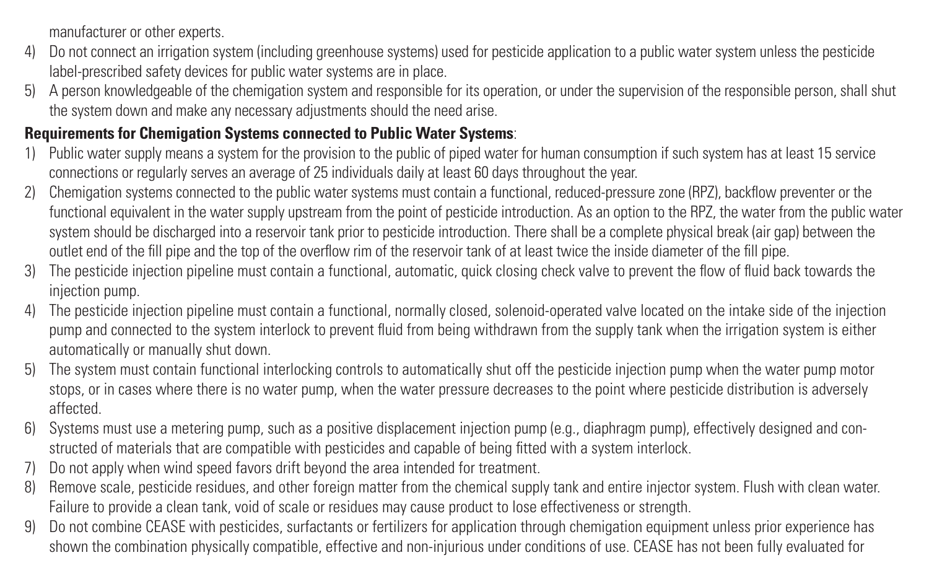manufacturer or other experts.

- 4) Do not connect an irrigation system (including greenhouse systems) used for pesticide application to a public water system unless the pesticide label-prescribed safety devices for public water systems are in place.
- 5) A person knowledgeable of the chemigation system and responsible for its operation, or under the supervision of the responsible person, shall shut the system down and make any necessary adjustments should the need arise.

#### **Requirements for Chemigation Systems connected to Public Water Systems**:

- 1) Public water supply means a system for the provision to the public of piped water for human consumption if such system has at least 15 service connections or regularly serves an average of 25 individuals daily at least 60 days throughout the year.
- 2) Chemigation systems connected to the public water systems must contain a functional, reduced-pressure zone (RPZ), backflow preventer or the functional equivalent in the water supply upstream from the point of pesticide introduction. As an option to the RPZ, the water from the public water system should be discharged into a reservoir tank prior to pesticide introduction. There shall be a complete physical break (air gap) between the outlet end of the fill pipe and the top of the overflow rim of the reservoir tank of at least twice the inside diameter of the fill pipe.
- 3) The pesticide injection pipeline must contain a functional, automatic, quick closing check valve to prevent the flow of fluid back towards the injection pump.
- 4) The pesticide injection pipeline must contain a functional, normally closed, solenoid-operated valve located on the intake side of the injection pump and connected to the system interlock to prevent fluid from being withdrawn from the supply tank when the irrigation system is either automatically or manually shut down.
- 5) The system must contain functional interlocking controls to automatically shut off the pesticide injection pump when the water pump motor stops, or in cases where there is no water pump, when the water pressure decreases to the point where pesticide distribution is adversely affected.
- 6) Systems must use a metering pump, such as a positive displacement injection pump (e.g., diaphragm pump), effectively designed and constructed of materials that are compatible with pesticides and capable of being fitted with a system interlock.
- 7) Do not apply when wind speed favors drift beyond the area intended for treatment.
- 8) Remove scale, pesticide residues, and other foreign matter from the chemical supply tank and entire injector system. Flush with clean water. Failure to provide a clean tank, void of scale or residues may cause product to lose effectiveness or strength.
- 9) Do not combine CEASE with pesticides, surfactants or fertilizers for application through chemigation equipment unless prior experience has shown the combination physically compatible, effective and non-injurious under conditions of use. CEASE has not been fully evaluated for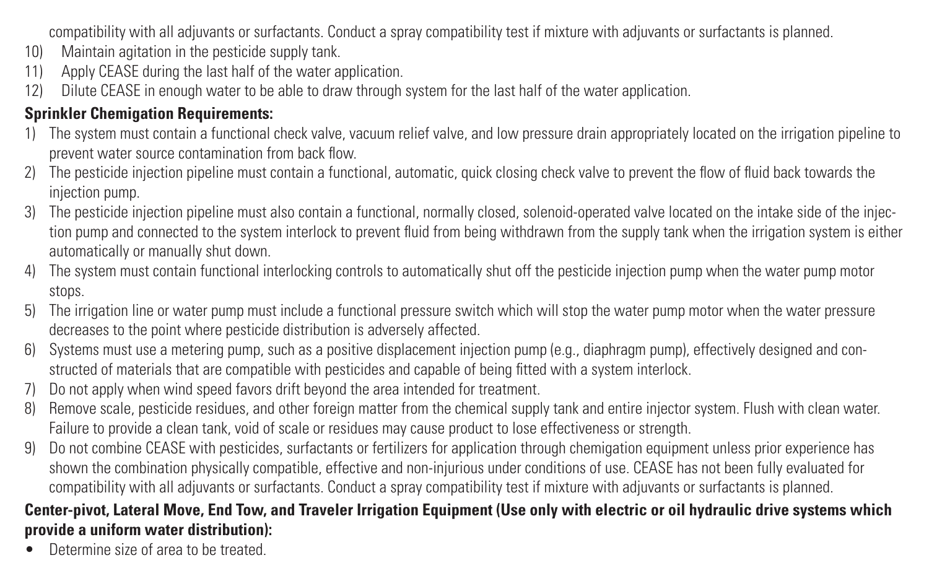compatibility with all adjuvants or surfactants. Conduct a spray compatibility test if mixture with adjuvants or surfactants is planned.

- 10) Maintain agitation in the pesticide supply tank.<br>11) Apply CEASE during the last half of the water a
- Apply CEASE during the last half of the water application.
- 12) Dilute CEASE in enough water to be able to draw through system for the last half of the water application.

#### **Sprinkler Chemination Requirements:**

- 1) The system must contain a functional check valve, vacuum relief valve, and low pressure drain appropriately located on the irrigation pipeline to prevent water source contamination from back flow.
- 2) The pesticide injection pipeline must contain a functional, automatic, quick closing check valve to prevent the flow of fluid back towards the injection pump.
- 3) The pesticide injection pipeline must also contain a functional, normally closed, solenoid-operated valve located on the intake side of the injection pump and connected to the system interlock to prevent fluid from being withdrawn from the supply tank when the irrigation system is either automatically or manually shut down.
- 4) The system must contain functional interlocking controls to automatically shut off the pesticide injection pump when the water pump motor stops.
- 5) The irrigation line or water pump must include a functional pressure switch which will stop the water pump motor when the water pressure decreases to the point where pesticide distribution is adversely affected.
- 6) Systems must use a metering pump, such as a positive displacement injection pump (e.g., diaphragm pump), effectively designed and constructed of materials that are compatible with pesticides and capable of being fitted with a system interlock.
- 7) Do not apply when wind speed favors drift beyond the area intended for treatment.
- 8) Remove scale, pesticide residues, and other foreign matter from the chemical supply tank and entire injector system. Flush with clean water. Failure to provide a clean tank, void of scale or residues may cause product to lose effectiveness or strength.
- 9) Do not combine CEASE with pesticides, surfactants or fertilizers for application through chemigation equipment unless prior experience has shown the combination physically compatible, effective and non-injurious under conditions of use. CEASE has not been fully evaluated for compatibility with all adjuvants or surfactants. Conduct a spray compatibility test if mixture with adjuvants or surfactants is planned.

#### **Center-pivot, Lateral Move, End Tow, and Traveler Irrigation Equipment (Use only with electric or oil hydraulic drive systems which provide a uniform water distribution):**

• Determine size of area to be treated.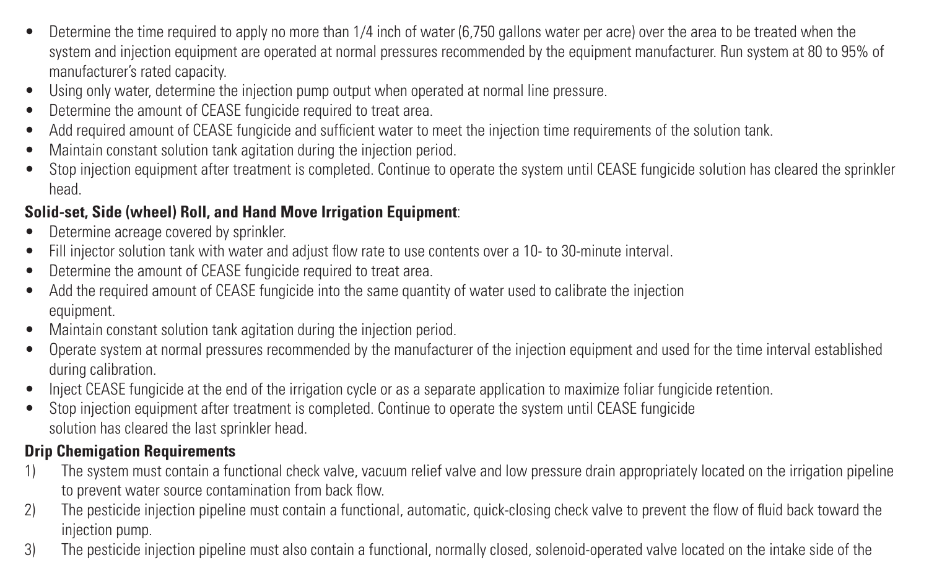- Determine the time required to apply no more than 1/4 inch of water (6,750 gallons water per acre) over the area to be treated when the system and injection equipment are operated at normal pressures recommended by the equipment manufacturer. Run system at 80 to 95% of manufacturer's rated capacity.
- Using only water, determine the injection pump output when operated at normal line pressure.
- Determine the amount of CEASE fungicide required to treat area.
- Add required amount of CEASE fungicide and sufficient water to meet the injection time requirements of the solution tank.
- Maintain constant solution tank agitation during the injection period.
- Stop injection equipment after treatment is completed. Continue to operate the system until CEASE fungicide solution has cleared the sprinkler head.

#### **Solid-set, Side (wheel) Roll, and Hand Move Irrigation Equipment**:

- Determine acreage covered by sprinkler.
- Fill injector solution tank with water and adjust flow rate to use contents over a 10- to 30-minute interval.
- Determine the amount of CEASE fungicide required to treat area.
- Add the required amount of CEASE fungicide into the same quantity of water used to calibrate the injection equipment.
- Maintain constant solution tank agitation during the injection period.
- Operate system at normal pressures recommended by the manufacturer of the injection equipment and used for the time interval established during calibration.
- Inject CEASE fungicide at the end of the irrigation cycle or as a separate application to maximize foliar fungicide retention.
- Stop injection equipment after treatment is completed. Continue to operate the system until CEASE fungicide solution has cleared the last sprinkler head.

#### **Drip Chemigation Requirements**

- 1) The system must contain a functional check valve, vacuum relief valve and low pressure drain appropriately located on the irrigation pipeline to prevent water source contamination from back flow.
- 2) The pesticide injection pipeline must contain a functional, automatic, quick-closing check valve to prevent the flow of fluid back toward the injection pump.
- 3) The pesticide injection pipeline must also contain a functional, normally closed, solenoid-operated valve located on the intake side of the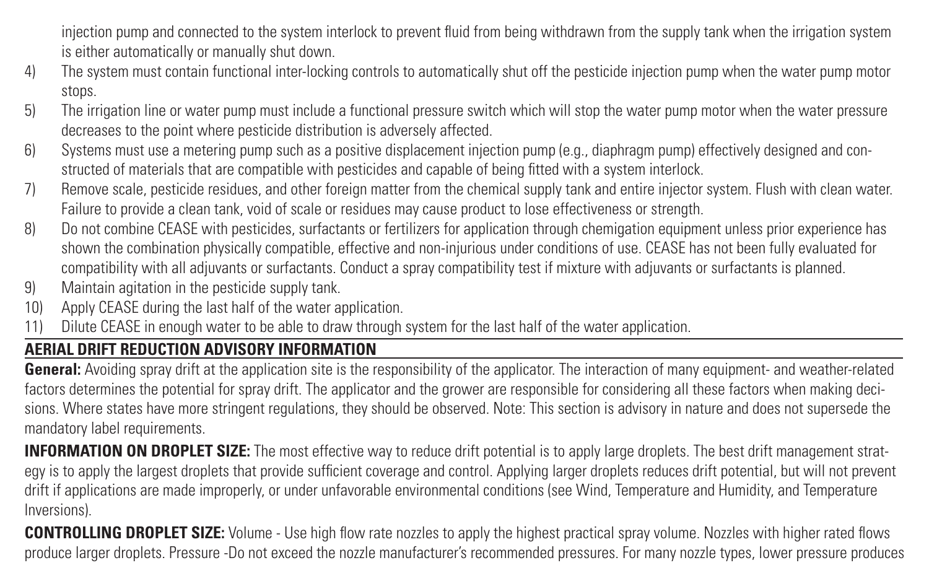injection pump and connected to the system interlock to prevent fluid from being withdrawn from the supply tank when the irrigation system is either automatically or manually shut down.

- 4) The system must contain functional inter-locking controls to automatically shut off the pesticide injection pump when the water pump motor stops.
- 5) The irrigation line or water pump must include a functional pressure switch which will stop the water pump motor when the water pressure decreases to the point where pesticide distribution is adversely affected.
- 6) Systems must use a metering pump such as a positive displacement injection pump (e.g., diaphragm pump) effectively designed and constructed of materials that are compatible with pesticides and capable of being fitted with a system interlock.
- 7) Remove scale, pesticide residues, and other foreign matter from the chemical supply tank and entire injector system. Flush with clean water. Failure to provide a clean tank, void of scale or residues may cause product to lose effectiveness or strength.
- 8) Do not combine CEASE with pesticides, surfactants or fertilizers for application through chemigation equipment unless prior experience has shown the combination physically compatible, effective and non-injurious under conditions of use. CEASE has not been fully evaluated for compatibility with all adjuvants or surfactants. Conduct a spray compatibility test if mixture with adjuvants or surfactants is planned.
- 9) Maintain agitation in the pesticide supply tank.<br>10) Apply CFASE during the last half of the water a
- Apply CEASE during the last half of the water application.
- 11) Dilute CEASE in enough water to be able to draw through system for the last half of the water application.

#### **AERIAL DRIFT REDUCTION ADVISORY INFORMATION**

**General:** Avoiding spray drift at the application site is the responsibility of the applicator. The interaction of many equipment- and weather-related factors determines the potential for spray drift. The applicator and the grower are responsible for considering all these factors when making decisions. Where states have more stringent regulations, they should be observed. Note: This section is advisory in nature and does not supersede the mandatory label requirements.

**INFORMATION ON DROPLET SIZE:** The most effective way to reduce drift potential is to apply large droplets. The best drift management strategy is to apply the largest droplets that provide sufficient coverage and control. Applying larger droplets reduces drift potential, but will not prevent drift if applications are made improperly, or under unfavorable environmental conditions (see Wind, Temperature and Humidity, and Temperature Inversions).

**CONTROLLING DROPLET SIZE:** Volume - Use high flow rate nozzles to apply the highest practical spray volume. Nozzles with higher rated flows produce larger droplets. Pressure -Do not exceed the nozzle manufacturer's recommended pressures. For many nozzle types, lower pressure produces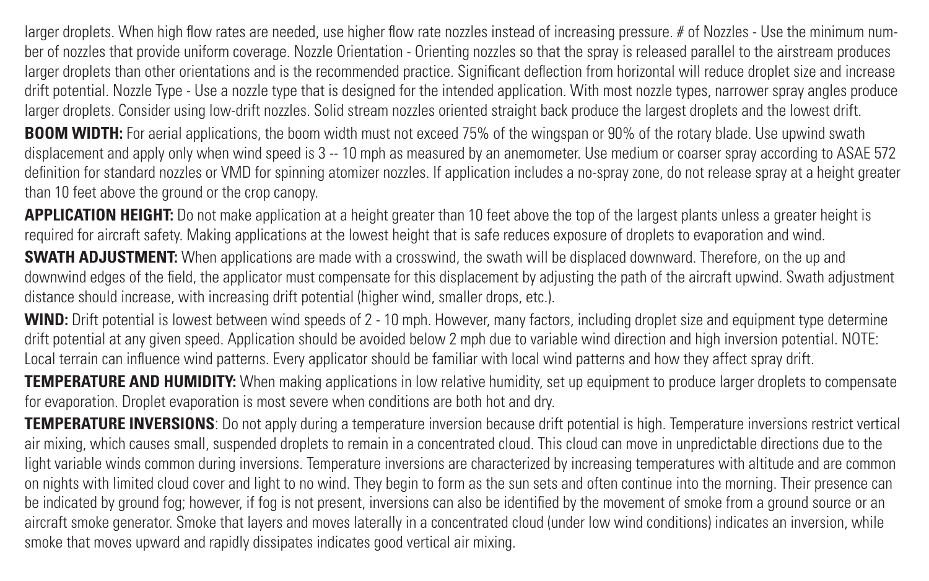larger droplets. When high flow rates are needed, use higher flow rate nozzles instead of increasing pressure. # of Nozzles - Use the minimum number of nozzles that provide uniform coverage. Nozzle Orientation - Orienting nozzles so that the spray is released parallel to the airstream produces larger droplets than other orientations and is the recommended practice. Significant deflection from horizontal will reduce droplet size and increase drift potential. Nozzle Type - Use a nozzle type that is designed for the intended application. With most nozzle types, narrower spray angles produce larger droplets. Consider using low-drift nozzles. Solid stream nozzles oriented straight back produce the largest droplets and the lowest drift. **BOOM WIDTH:** For aerial applications, the boom width must not exceed 75% of the wingspan or 90% of the rotary blade. Use upwind swath displacement and apply only when wind speed is 3 -- 10 mph as measured by an anemometer. Use medium or coarser spray according to ASAE 572 definition for standard nozzles or VMD for spinning atomizer nozzles. If application includes a no-spray zone, do not release spray at a height greater

than 10 feet above the ground or the crop canopy.

**APPLICATION HEIGHT:** Do not make application at a height greater than 10 feet above the top of the largest plants unless a greater height is required for aircraft safety. Making applications at the lowest height that is safe reduces exposure of droplets to evaporation and wind.

**SWATH ADJUSTMENT:** When applications are made with a crosswind, the swath will be displaced downward. Therefore, on the up and downwind edges of the field, the applicator must compensate for this displacement by adjusting the path of the aircraft upwind. Swath adjustment distance should increase, with increasing drift potential (higher wind, smaller drops, etc.).

**WIND:** Drift potential is lowest between wind speeds of 2 - 10 mph. However, many factors, including droplet size and equipment type determine drift potential at any given speed. Application should be avoided below 2 mph due to variable wind direction and high inversion potential. NOTE: Local terrain can influence wind patterns. Every applicator should be familiar with local wind patterns and how they affect spray drift.

**TEMPERATURE AND HUMIDITY:** When making applications in low relative humidity, set up equipment to produce larger droplets to compensate for evaporation. Droplet evaporation is most severe when conditions are both hot and dry.

**TEMPERATURE INVERSIONS**: Do not apply during a temperature inversion because drift potential is high. Temperature inversions restrict vertical air mixing, which causes small, suspended droplets to remain in a concentrated cloud. This cloud can move in unpredictable directions due to the light variable winds common during inversions. Temperature inversions are characterized by increasing temperatures with altitude and are common on nights with limited cloud cover and light to no wind. They begin to form as the sun sets and often continue into the morning. Their presence can be indicated by ground fog; however, if fog is not present, inversions can also be identified by the movement of smoke from a ground source or an aircraft smoke generator. Smoke that layers and moves laterally in a concentrated cloud (under low wind conditions) indicates an inversion, while smoke that moves upward and rapidly dissipates indicates good vertical air mixing.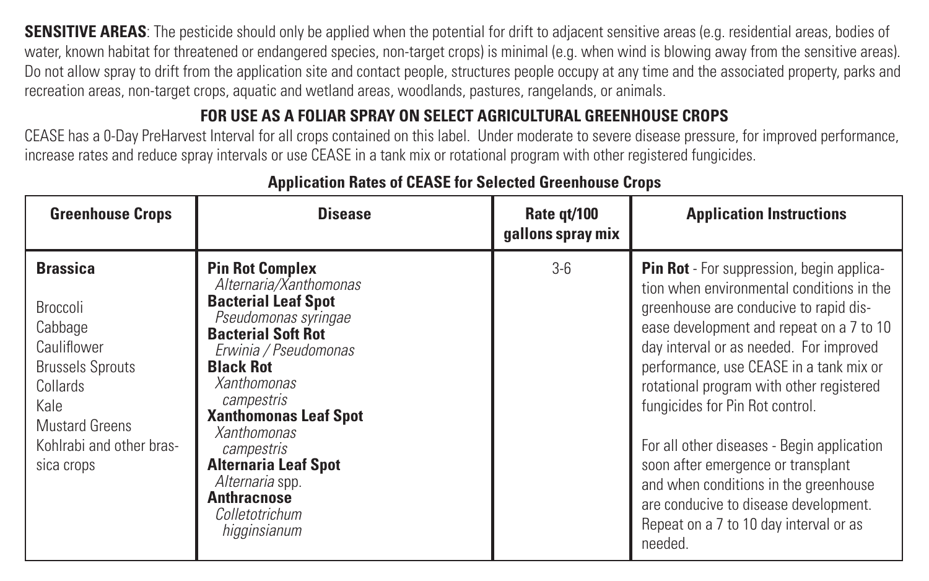**SENSITIVE AREAS:** The pesticide should only be applied when the potential for drift to adjacent sensitive areas (e.g. residential areas, bodies of water, known habitat for threatened or endangered species, non-target crops) is minimal (e.g. when wind is blowing away from the sensitive areas). Do not allow spray to drift from the application site and contact people, structures people occupy at any time and the associated property, parks and recreation areas, non-target crops, aquatic and wetland areas, woodlands, pastures, rangelands, or animals.

#### **FOR USE AS A FOLIAR SPRAY ON SELECT AGRICULTURAL GREENHOUSE CROPS**

CEASE has a 0-Day PreHarvest Interval for all crops contained on this label. Under moderate to severe disease pressure, for improved performance, increase rates and reduce spray intervals or use CEASE in a tank mix or rotational program with other registered fungicides.

| <b>Greenhouse Crops</b>                                                                                                                                          | <b>Disease</b>                                                                                                                                                                                                                                                                                                                                                                              | Rate gt/100<br>gallons spray mix | <b>Application Instructions</b>                                                                                                                                                                                                                                                                                                                                                                                                                                                                                                                                              |
|------------------------------------------------------------------------------------------------------------------------------------------------------------------|---------------------------------------------------------------------------------------------------------------------------------------------------------------------------------------------------------------------------------------------------------------------------------------------------------------------------------------------------------------------------------------------|----------------------------------|------------------------------------------------------------------------------------------------------------------------------------------------------------------------------------------------------------------------------------------------------------------------------------------------------------------------------------------------------------------------------------------------------------------------------------------------------------------------------------------------------------------------------------------------------------------------------|
| <b>Brassica</b><br>Broccoli<br>Cabbage<br>Cauliflower<br><b>Brussels Sprouts</b><br>Collards<br>Kale<br>Mustard Greens<br>Kohlrabi and other bras-<br>sica crops | <b>Pin Rot Complex</b><br>Alternaria/Xanthomonas<br><b>Bacterial Leaf Spot</b><br>Pseudomonas syringae<br><b>Bacterial Soft Rot</b><br>Erwinia / Pseudomonas<br><b>Black Rot</b><br>Xanthomonas<br>campestris<br><b>Xanthomonas Leaf Spot</b><br><b>Xanthomonas</b><br>campestris<br><b>Alternaria Leaf Spot</b><br>Alternaria spp.<br><b>Anthracnose</b><br>Colletotrichum<br>higginsianum | $3-6$                            | Pin Rot - For suppression, begin applica-<br>tion when environmental conditions in the<br>greenhouse are conducive to rapid dis-<br>ease development and repeat on a 7 to 10<br>day interval or as needed. For improved<br>performance, use CEASE in a tank mix or<br>rotational program with other registered<br>fungicides for Pin Rot control.<br>For all other diseases - Begin application<br>soon after emergence or transplant<br>and when conditions in the greenhouse<br>are conducive to disease development.<br>Repeat on a 7 to 10 day interval or as<br>needed. |

#### **Application Rates of CEASE for Selected Greenhouse Crops**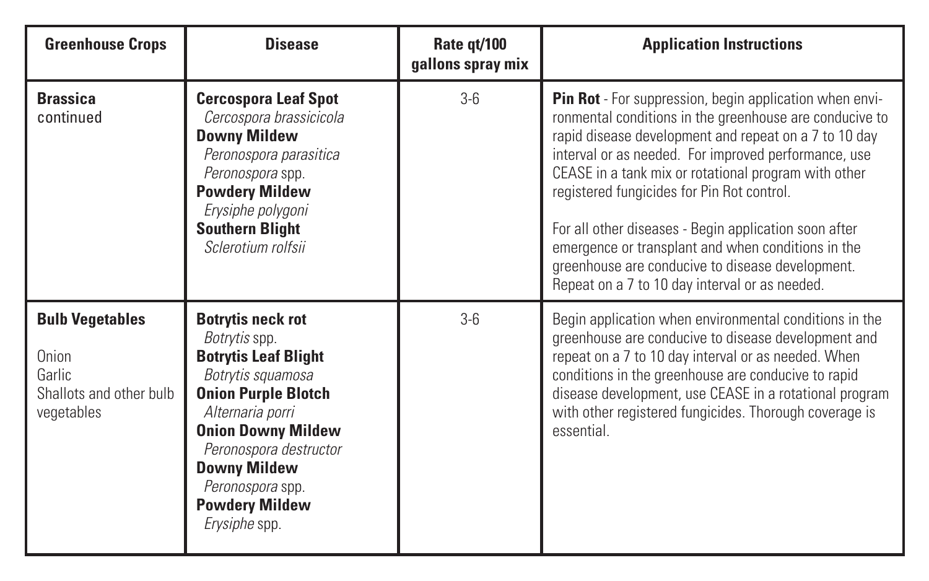| <b>Greenhouse Crops</b>                                                            | <b>Disease</b>                                                                                                                                                                                                                                                                       | Rate gt/100<br>gallons spray mix | <b>Application Instructions</b>                                                                                                                                                                                                                                                                                                                                                                                                                                                                                                                                |
|------------------------------------------------------------------------------------|--------------------------------------------------------------------------------------------------------------------------------------------------------------------------------------------------------------------------------------------------------------------------------------|----------------------------------|----------------------------------------------------------------------------------------------------------------------------------------------------------------------------------------------------------------------------------------------------------------------------------------------------------------------------------------------------------------------------------------------------------------------------------------------------------------------------------------------------------------------------------------------------------------|
| <b>Brassica</b><br>continued                                                       | <b>Cercospora Leaf Spot</b><br>Cercospora brassicicola<br>Downy Mildew<br>Peronospora parasitica<br>Peronospora spp.<br><b>Powdery Mildew</b><br>Erysiphe polygoni<br><b>Southern Blight</b><br>Sclerotium rolfsii                                                                   | $3-6$                            | Pin Rot - For suppression, begin application when envi-<br>ronmental conditions in the greenhouse are conducive to<br>rapid disease development and repeat on a 7 to 10 day<br>interval or as needed. For improved performance, use<br>CEASE in a tank mix or rotational program with other<br>registered fungicides for Pin Rot control.<br>For all other diseases - Begin application soon after<br>emergence or transplant and when conditions in the<br>greenhouse are conducive to disease development.<br>Repeat on a 7 to 10 day interval or as needed. |
| <b>Bulb Vegetables</b><br>Onion<br>Garlic<br>Shallots and other bulb<br>vegetables | <b>Botrytis neck rot</b><br>Botrytis spp.<br><b>Botrytis Leaf Blight</b><br>Botrytis squamosa<br><b>Onion Purple Blotch</b><br>Alternaria porri<br><b>Onion Downy Mildew</b><br>Peronospora destructor<br>Downy Mildew<br>Peronospora spp.<br><b>Powdery Mildew</b><br>Erysiphe spp. | $3 - 6$                          | Begin application when environmental conditions in the<br>greenhouse are conducive to disease development and<br>repeat on a 7 to 10 day interval or as needed. When<br>conditions in the greenhouse are conducive to rapid<br>disease development, use CEASE in a rotational program<br>with other registered fungicides. Thorough coverage is<br>essential.                                                                                                                                                                                                  |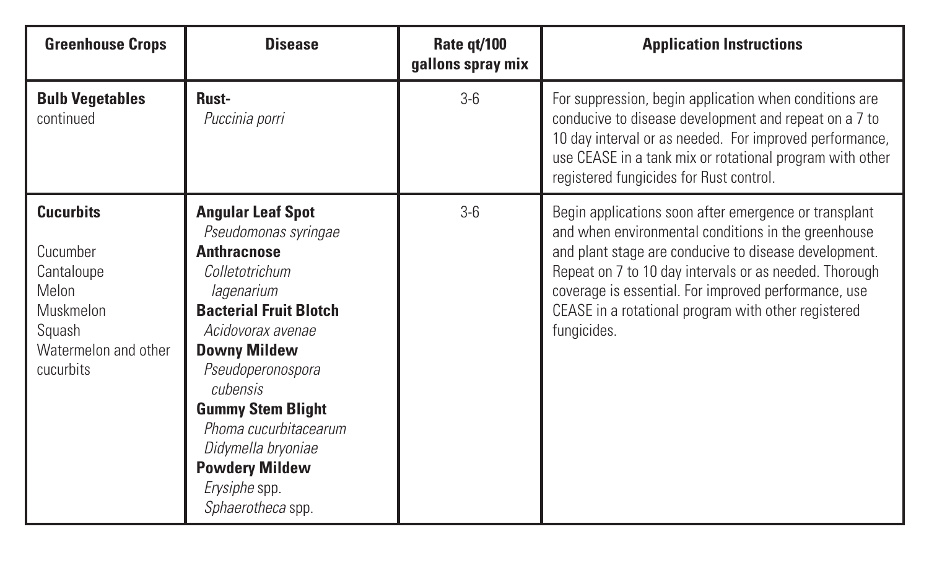| <b>Greenhouse Crops</b>                                                                                         | <b>Disease</b>                                                                                                                                                                                                                                                                                                                                          | Rate qt/100<br>gallons spray mix | <b>Application Instructions</b>                                                                                                                                                                                                                                                                                                                               |
|-----------------------------------------------------------------------------------------------------------------|---------------------------------------------------------------------------------------------------------------------------------------------------------------------------------------------------------------------------------------------------------------------------------------------------------------------------------------------------------|----------------------------------|---------------------------------------------------------------------------------------------------------------------------------------------------------------------------------------------------------------------------------------------------------------------------------------------------------------------------------------------------------------|
| <b>Bulb Vegetables</b><br>continued                                                                             | Rust-<br>Puccinia porri                                                                                                                                                                                                                                                                                                                                 | $3-6$                            | For suppression, begin application when conditions are<br>conducive to disease development and repeat on a 7 to<br>10 day interval or as needed. For improved performance,<br>use CEASE in a tank mix or rotational program with other<br>registered fungicides for Rust control.                                                                             |
| <b>Cucurbits</b><br>Cucumber<br>Cantaloupe<br>Melon<br>Muskmelon<br>Squash<br>Watermelon and other<br>cucurbits | <b>Angular Leaf Spot</b><br>Pseudomonas syringae<br><b>Anthracnose</b><br>Colletotrichum<br>lagenarium<br><b>Bacterial Fruit Blotch</b><br>Acidovorax avenae<br>Downy Mildew<br>Pseudoperonospora<br>cubensis<br><b>Gummy Stem Blight</b><br>Phoma cucurbitacearum<br>Didymella bryoniae<br><b>Powdery Mildew</b><br>Erysiphe spp.<br>Sphaerotheca spp. | $3-6$                            | Begin applications soon after emergence or transplant<br>and when environmental conditions in the greenhouse<br>and plant stage are conducive to disease development.<br>Repeat on 7 to 10 day intervals or as needed. Thorough<br>coverage is essential. For improved performance, use<br>CEASE in a rotational program with other registered<br>fungicides. |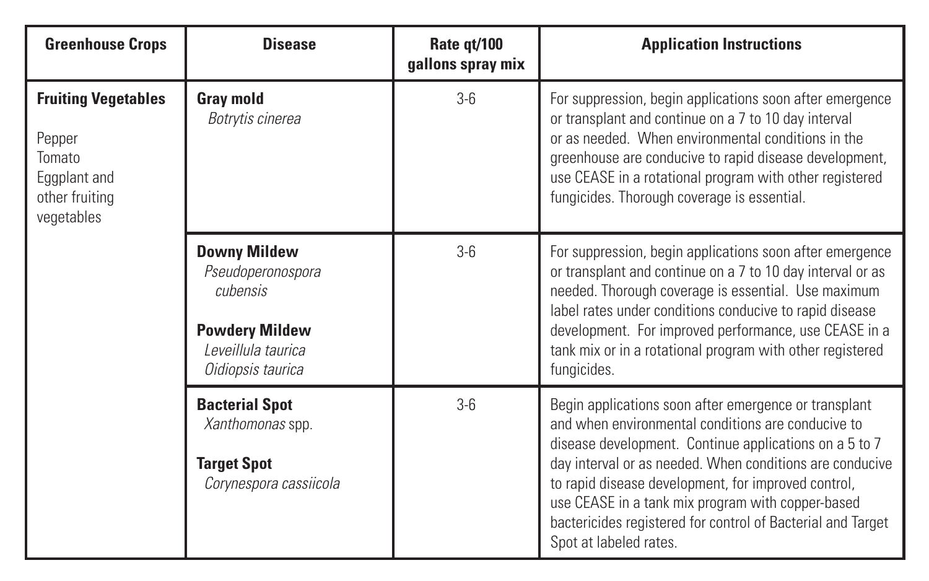| <b>Greenhouse Crops</b>                                                                        | <b>Disease</b>                                                                                                            | Rate qt/100<br>gallons spray mix | <b>Application Instructions</b>                                                                                                                                                                                                                                                                                                                                                                                                        |
|------------------------------------------------------------------------------------------------|---------------------------------------------------------------------------------------------------------------------------|----------------------------------|----------------------------------------------------------------------------------------------------------------------------------------------------------------------------------------------------------------------------------------------------------------------------------------------------------------------------------------------------------------------------------------------------------------------------------------|
| <b>Fruiting Vegetables</b><br>Pepper<br>Tomato<br>Eggplant and<br>other fruiting<br>vegetables | <b>Gray mold</b><br>Botrytis cinerea                                                                                      | $3 - 6$                          | For suppression, begin applications soon after emergence<br>or transplant and continue on a 7 to 10 day interval<br>or as needed. When environmental conditions in the<br>greenhouse are conducive to rapid disease development,<br>use CEASE in a rotational program with other registered<br>fungicides. Thorough coverage is essential.                                                                                             |
|                                                                                                | <b>Downy Mildew</b><br>Pseudoperonospora<br>cubensis<br><b>Powdery Mildew</b><br>I eveillula taurica<br>Oidiopsis taurica | $3 - 6$                          | For suppression, begin applications soon after emergence<br>or transplant and continue on a 7 to 10 day interval or as<br>needed. Thorough coverage is essential. Use maximum<br>label rates under conditions conducive to rapid disease<br>development. For improved performance, use CEASE in a<br>tank mix or in a rotational program with other registered<br>fungicides.                                                          |
|                                                                                                | <b>Bacterial Spot</b><br>Xanthomonas spp.<br><b>Target Spot</b><br>Corynespora cassiicola                                 | $3 - 6$                          | Begin applications soon after emergence or transplant<br>and when environmental conditions are conducive to<br>disease development. Continue applications on a 5 to 7<br>day interval or as needed. When conditions are conducive<br>to rapid disease development, for improved control,<br>use CEASE in a tank mix program with copper-based<br>bactericides registered for control of Bacterial and Target<br>Spot at labeled rates. |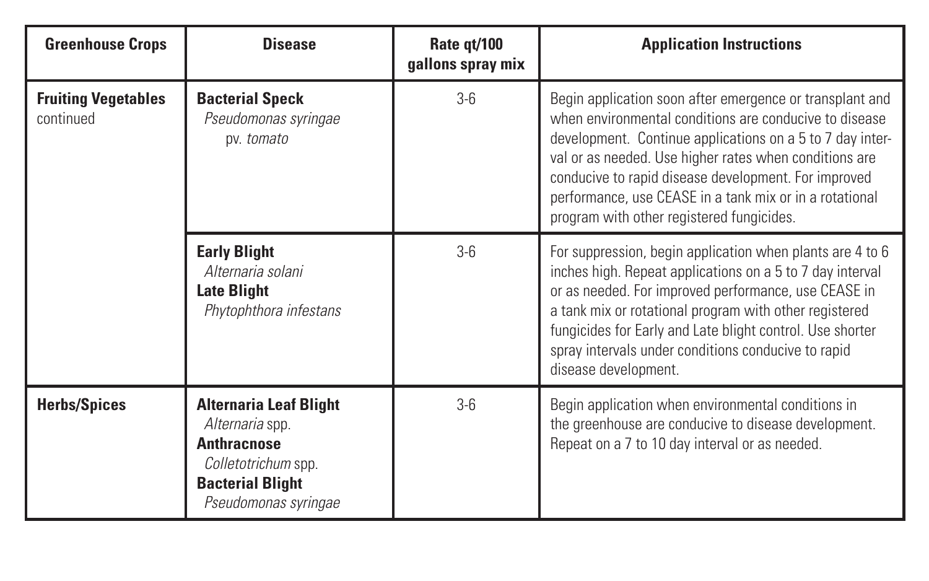| <b>Greenhouse Crops</b>                 | <b>Disease</b>                                                                                                                                   | Rate gt/100<br>gallons spray mix | <b>Application Instructions</b>                                                                                                                                                                                                                                                                                                                                                                           |
|-----------------------------------------|--------------------------------------------------------------------------------------------------------------------------------------------------|----------------------------------|-----------------------------------------------------------------------------------------------------------------------------------------------------------------------------------------------------------------------------------------------------------------------------------------------------------------------------------------------------------------------------------------------------------|
| <b>Fruiting Vegetables</b><br>continued | <b>Bacterial Speck</b><br>Pseudomonas syringae<br>pv. tomato                                                                                     | $3 - 6$                          | Begin application soon after emergence or transplant and<br>when environmental conditions are conducive to disease<br>development. Continue applications on a 5 to 7 day inter-<br>val or as needed. Use higher rates when conditions are<br>conducive to rapid disease development. For improved<br>performance, use CEASE in a tank mix or in a rotational<br>program with other registered fungicides. |
|                                         | <b>Early Blight</b><br>Alternaria solani<br><b>Late Blight</b><br>Phytophthora infestans                                                         | $3 - 6$                          | For suppression, begin application when plants are 4 to 6<br>inches high. Repeat applications on a 5 to 7 day interval<br>or as needed. For improved performance, use CEASE in<br>a tank mix or rotational program with other registered<br>fungicides for Early and Late blight control. Use shorter<br>spray intervals under conditions conducive to rapid<br>disease development.                      |
| <b>Herbs/Spices</b>                     | <b>Alternaria Leaf Blight</b><br>Alternaria spp.<br><b>Anthracnose</b><br>Colletotrichum spp.<br><b>Bacterial Blight</b><br>Pseudomonas syringae | $3 - 6$                          | Begin application when environmental conditions in<br>the greenhouse are conducive to disease development.<br>Repeat on a 7 to 10 day interval or as needed.                                                                                                                                                                                                                                              |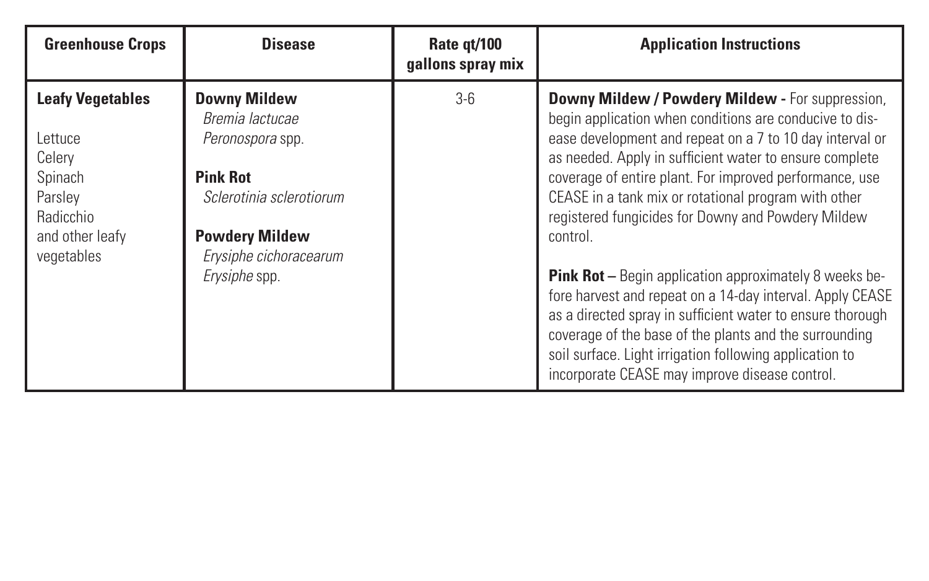| <b>Greenhouse Crops</b>                                                                                                 | <b>Disease</b>                                                                                                                                                         | Rate gt/100<br>gallons spray mix | <b>Application Instructions</b>                                                                                                                                                                                                                                                                                                                                                                                                                                                                                                                                                                                                                                                                                                                                                            |
|-------------------------------------------------------------------------------------------------------------------------|------------------------------------------------------------------------------------------------------------------------------------------------------------------------|----------------------------------|--------------------------------------------------------------------------------------------------------------------------------------------------------------------------------------------------------------------------------------------------------------------------------------------------------------------------------------------------------------------------------------------------------------------------------------------------------------------------------------------------------------------------------------------------------------------------------------------------------------------------------------------------------------------------------------------------------------------------------------------------------------------------------------------|
| <b>Leafy Vegetables</b><br>lettuce<br>Celery<br>Spinach<br>Parsley<br><b>Radicchio</b><br>and other leafy<br>vegetables | Downy Mildew<br>Bremia lactucae<br>Peronospora spp.<br><b>Pink Rot</b><br>Sclerotinia sclerotiorum<br><b>Powdery Mildew</b><br>Erysiphe cichoracearum<br>Erysiphe spp. | $3 - 6$                          | Downy Mildew / Powdery Mildew - For suppression,<br>begin application when conditions are conducive to dis-<br>ease development and repeat on a 7 to 10 day interval or<br>as needed. Apply in sufficient water to ensure complete<br>coverage of entire plant. For improved performance, use<br>CEASE in a tank mix or rotational program with other<br>registered fungicides for Downy and Powdery Mildew<br>control.<br><b>Pink Rot</b> - Begin application approximately 8 weeks be-<br>fore harvest and repeat on a 14-day interval. Apply CEASE<br>as a directed spray in sufficient water to ensure thorough<br>coverage of the base of the plants and the surrounding<br>soil surface. Light irrigation following application to<br>incorporate CEASE may improve disease control. |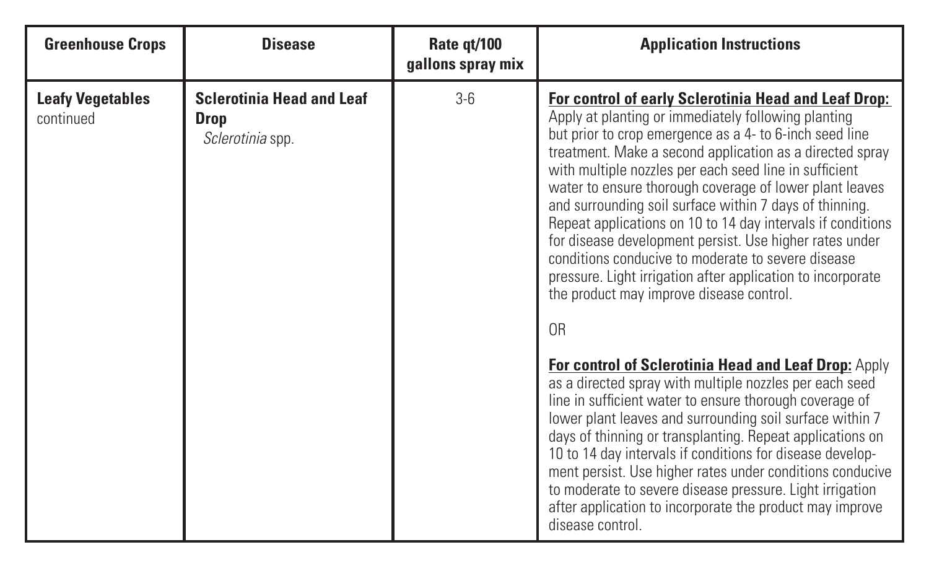| <b>Greenhouse Crops</b>              | <b>Disease</b>                                               | Rate gt/100<br>gallons spray mix | <b>Application Instructions</b>                                                                                                                                                                                                                                                                                                                                                                                                                                                                                                                                                                                                                                                                                                                                                         |
|--------------------------------------|--------------------------------------------------------------|----------------------------------|-----------------------------------------------------------------------------------------------------------------------------------------------------------------------------------------------------------------------------------------------------------------------------------------------------------------------------------------------------------------------------------------------------------------------------------------------------------------------------------------------------------------------------------------------------------------------------------------------------------------------------------------------------------------------------------------------------------------------------------------------------------------------------------------|
| <b>Leafy Vegetables</b><br>continued | <b>Sclerotinia Head and Leaf</b><br>Drop<br>Sclerotinia spp. | $3-6$                            | For control of early Sclerotinia Head and Leaf Drop:<br>Apply at planting or immediately following planting<br>but prior to crop emergence as a 4- to 6-inch seed line<br>treatment. Make a second application as a directed spray<br>with multiple nozzles per each seed line in sufficient<br>water to ensure thorough coverage of lower plant leaves<br>and surrounding soil surface within 7 days of thinning.<br>Repeat applications on 10 to 14 day intervals if conditions<br>for disease development persist. Use higher rates under<br>conditions conducive to moderate to severe disease<br>pressure. Light irrigation after application to incorporate<br>the product may improve disease control.<br>0 <sub>R</sub><br>For control of Sclerotinia Head and Leaf Drop: Apply |
|                                      |                                                              |                                  | as a directed spray with multiple nozzles per each seed<br>line in sufficient water to ensure thorough coverage of<br>lower plant leaves and surrounding soil surface within 7<br>days of thinning or transplanting. Repeat applications on<br>10 to 14 day intervals if conditions for disease develop-<br>ment persist. Use higher rates under conditions conducive<br>to moderate to severe disease pressure. Light irrigation<br>after application to incorporate the product may improve<br>disease control.                                                                                                                                                                                                                                                                       |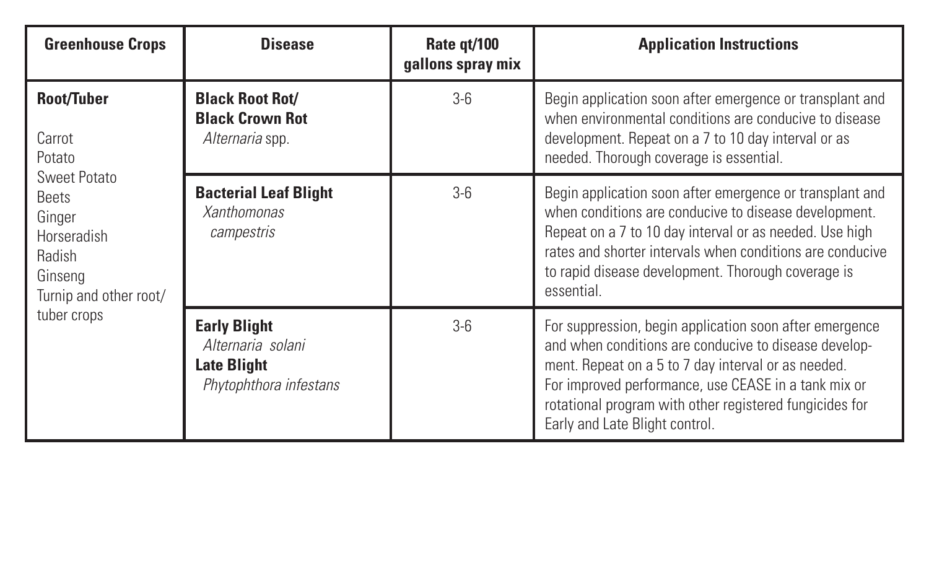| <b>Greenhouse Crops</b>                                                                              | <b>Disease</b>                                                                           | Rate gt/100<br>gallons spray mix | <b>Application Instructions</b>                                                                                                                                                                                                                                                                                              |
|------------------------------------------------------------------------------------------------------|------------------------------------------------------------------------------------------|----------------------------------|------------------------------------------------------------------------------------------------------------------------------------------------------------------------------------------------------------------------------------------------------------------------------------------------------------------------------|
| Root/Tuber<br>Carrot<br>Potato                                                                       | <b>Black Root Rot/</b><br><b>Black Crown Rot</b><br>Alternaria spp.                      | $3 - 6$                          | Begin application soon after emergence or transplant and<br>when environmental conditions are conducive to disease<br>development. Repeat on a 7 to 10 day interval or as<br>needed. Thorough coverage is essential.                                                                                                         |
| Sweet Potato<br><b>Beets</b><br>Ginger<br>Horseradish<br>Radish<br>Ginseng<br>Turnip and other root/ | <b>Bacterial Leaf Blight</b><br><b>Xanthomonas</b><br>campestris                         | $3 - 6$                          | Begin application soon after emergence or transplant and<br>when conditions are conducive to disease development.<br>Repeat on a 7 to 10 day interval or as needed. Use high<br>rates and shorter intervals when conditions are conducive<br>to rapid disease development. Thorough coverage is<br>essential.                |
| tuber crops                                                                                          | <b>Early Blight</b><br>Alternaria solani<br><b>Late Blight</b><br>Phytophthora infestans | $3 - 6$                          | For suppression, begin application soon after emergence<br>and when conditions are conducive to disease develop-<br>ment. Repeat on a 5 to 7 day interval or as needed.<br>For improved performance, use CEASE in a tank mix or<br>rotational program with other registered fungicides for<br>Early and Late Blight control. |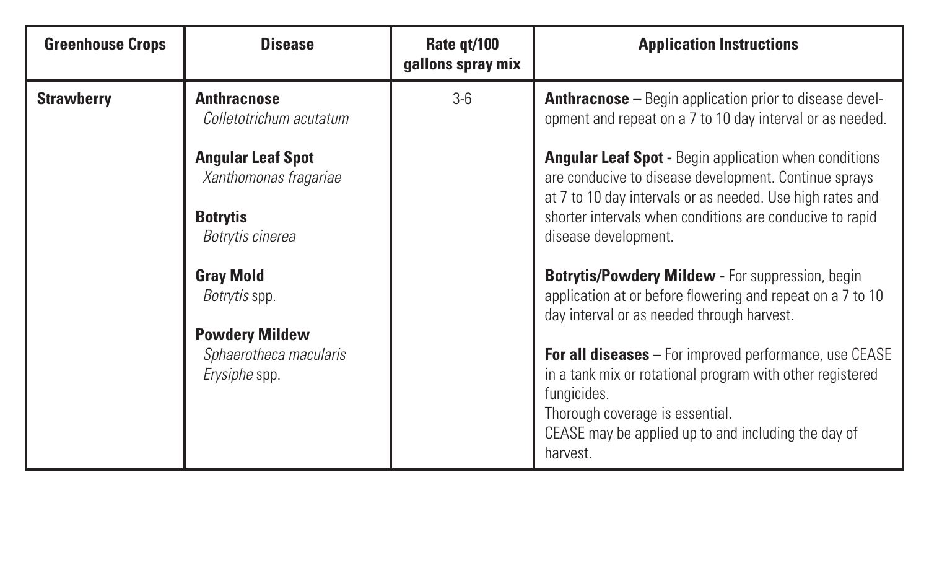| <b>Greenhouse Crops</b> | <b>Disease</b>                                                   | Rate gt/100<br>gallons spray mix | <b>Application Instructions</b>                                                                                                                                                                                                                 |
|-------------------------|------------------------------------------------------------------|----------------------------------|-------------------------------------------------------------------------------------------------------------------------------------------------------------------------------------------------------------------------------------------------|
| <b>Strawberry</b>       | <b>Anthracnose</b><br>Colletotrichum acutatum                    | $3-6$                            | <b>Anthracnose</b> – Begin application prior to disease devel-<br>opment and repeat on a 7 to 10 day interval or as needed.                                                                                                                     |
|                         | <b>Angular Leaf Spot</b><br>Xanthomonas fragariae                |                                  | <b>Angular Leaf Spot - Begin application when conditions</b><br>are conducive to disease development. Continue sprays<br>at 7 to 10 day intervals or as needed. Use high rates and                                                              |
|                         | <b>Botrytis</b><br>Botrytis cinerea                              |                                  | shorter intervals when conditions are conducive to rapid<br>disease development.                                                                                                                                                                |
|                         | <b>Gray Mold</b><br>Botrytis spp.                                |                                  | <b>Botrytis/Powdery Mildew - For suppression, begin</b><br>application at or before flowering and repeat on a 7 to 10<br>day interval or as needed through harvest.                                                                             |
|                         | <b>Powdery Mildew</b><br>Sphaerotheca macularis<br>Erysiphe spp. |                                  | <b>For all diseases</b> – For improved performance, use CEASE<br>in a tank mix or rotational program with other registered<br>fungicides.<br>Thorough coverage is essential.<br>CEASE may be applied up to and including the day of<br>harvest. |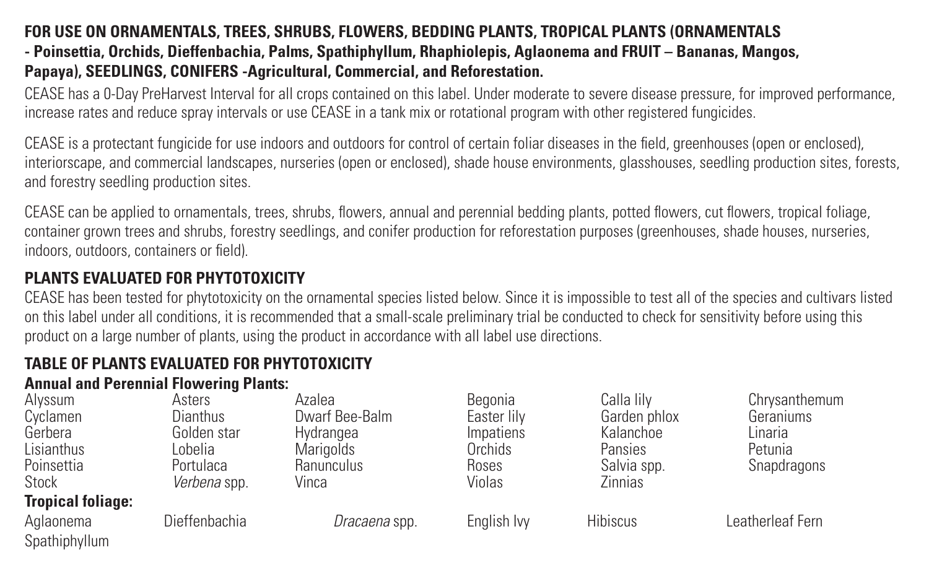#### **FOR USE ON ORNAMENTALS, TREES, SHRUBS, FLOWERS, BEDDING PLANTS, TROPICAL PLANTS (ORNAMENTALS - Poinsettia, Orchids, Dieffenbachia, Palms, Spathiphyllum, Rhaphiolepis, Aglaonema and FRUIT – Bananas, Mangos, Papaya), SEEDLINGS, CONIFERS -Agricultural, Commercial, and Reforestation.**

CEASE has a 0-Day PreHarvest Interval for all crops contained on this label. Under moderate to severe disease pressure, for improved performance, increase rates and reduce spray intervals or use CEASE in a tank mix or rotational program with other registered fungicides.

CEASE is a protectant fungicide for use indoors and outdoors for control of certain foliar diseases in the field, greenhouses (open or enclosed), interiorscape, and commercial landscapes, nurseries (open or enclosed), shade house environments, glasshouses, seedling production sites, forests, and forestry seedling production sites.

CEASE can be applied to ornamentals, trees, shrubs, flowers, annual and perennial bedding plants, potted flowers, cut flowers, tropical foliage, container grown trees and shrubs, forestry seedlings, and conifer production for reforestation purposes (greenhouses, shade houses, nurseries, indoors, outdoors, containers or field).

#### **PLANTS EVALUATED FOR PHYTOTOXICITY**

CEASE has been tested for phytotoxicity on the ornamental species listed below. Since it is impossible to test all of the species and cultivars listed on this label under all conditions, it is recommended that a small-scale preliminary trial be conducted to check for sensitivity before using this product on a large number of plants, using the product in accordance with all label use directions.

#### **TABLE OF PLANTS EVALUATED FOR PHYTOTOXICITY Annual and Perennial Flowering Plants:**

| Alvssum                  | Asters        | Azalea           | Begonia     | Calla lilv   | Chrysanthemum    |
|--------------------------|---------------|------------------|-------------|--------------|------------------|
| Cyclamen                 | Dianthus      | Dwarf Bee-Balm   | Easter lilv | Garden phlox | Geraniums        |
| Gerbera                  | Golden star   | Hvdrangea        | Impatiens   | Kalanchoe    | Linaria          |
| Lisianthus               | l obelia      | <b>Marigolds</b> | Orchids     | Pansies      | Petunia          |
| Poinsettia               | Portulaca     | Ranunculus       | Roses       | Salvia spp.  | Snapdragons      |
| Stock                    | Verbena spp.  | Vinca            | Violas      | Zinnias      |                  |
| <b>Tropical foliage:</b> |               |                  |             |              |                  |
| Aglaonema                | Dieffenbachia | Dracaena spp.    | English Ivv | Hibiscus     | Leatherleaf Fern |
| Spathiphyllum            |               |                  |             |              |                  |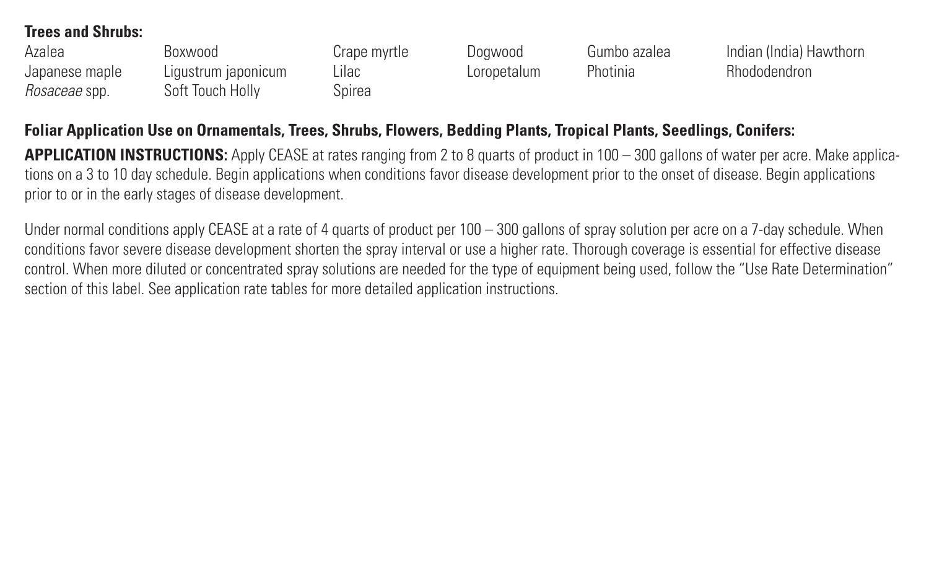#### **Trees and Shrubs:**

| Azalea         | Boxwood             | Crape myrtle | Doawood     | Gumbo azalea | Indian (India) Hawthorn |
|----------------|---------------------|--------------|-------------|--------------|-------------------------|
| Japanese maple | Ligustrum japonicum | Lilac        | Loropetalum | Photinia     | <b>Rhododendron</b>     |
| Rosaceae spp.  | Soft Touch Holly    | Spirea       |             |              |                         |

#### **Foliar Application Use on Ornamentals, Trees, Shrubs, Flowers, Bedding Plants, Tropical Plants, Seedlings, Conifers:**

**APPLICATION INSTRUCTIONS:** Apply CEASE at rates ranging from 2 to 8 quarts of product in 100 – 300 gallons of water per acre. Make applications on a 3 to 10 day schedule. Begin applications when conditions favor disease development prior to the onset of disease. Begin applications prior to or in the early stages of disease development.

Under normal conditions apply CEASE at a rate of 4 quarts of product per 100 – 300 gallons of spray solution per acre on a 7-day schedule. When conditions favor severe disease development shorten the spray interval or use a higher rate. Thorough coverage is essential for effective disease control. When more diluted or concentrated spray solutions are needed for the type of equipment being used, follow the "Use Rate Determination" section of this label. See application rate tables for more detailed application instructions.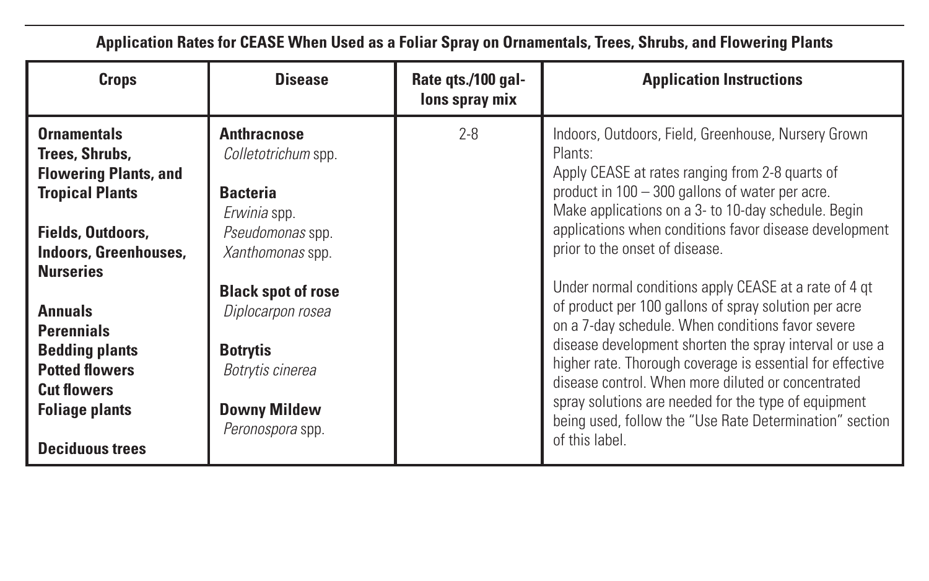**Application Rates for CEASE When Used as a Foliar Spray on Ornamentals, Trees, Shrubs, and Flowering Plants**

| Crops                                                                                                                                                            | <b>Disease</b>                                                                                                            | Rate gts./100 gal-<br>lons spray mix | <b>Application Instructions</b>                                                                                                                                                                                                                                                                                                                                                                                                                                                        |
|------------------------------------------------------------------------------------------------------------------------------------------------------------------|---------------------------------------------------------------------------------------------------------------------------|--------------------------------------|----------------------------------------------------------------------------------------------------------------------------------------------------------------------------------------------------------------------------------------------------------------------------------------------------------------------------------------------------------------------------------------------------------------------------------------------------------------------------------------|
| <b>Ornamentals</b><br>Trees, Shrubs,<br><b>Flowering Plants, and</b><br><b>Tropical Plants</b><br>Fields, Outdoors,<br>Indoors, Greenhouses,<br><b>Nurseries</b> | Anthracnose<br>Colletotrichum spp.<br><b>Bacteria</b><br>Erwinia spp.<br>Pseudomonas spp.<br>Xanthomonas spp.             | $2 - 8$                              | Indoors, Outdoors, Field, Greenhouse, Nursery Grown<br>Plants:<br>Apply CEASE at rates ranging from 2-8 quarts of<br>product in 100 - 300 gallons of water per acre.<br>Make applications on a 3- to 10-day schedule. Begin<br>applications when conditions favor disease development<br>prior to the onset of disease.                                                                                                                                                                |
| <b>Annuals</b><br><b>Perennials</b><br><b>Bedding plants</b><br><b>Potted flowers</b><br><b>Cut flowers</b><br><b>Foliage plants</b><br><b>Deciduous trees</b>   | <b>Black spot of rose</b><br>Diplocarpon rosea<br><b>Botrytis</b><br>Botrytis cinerea<br>Downy Mildew<br>Peronospora spp. |                                      | Under normal conditions apply CEASE at a rate of 4 gt<br>of product per 100 gallons of spray solution per acre<br>on a 7-day schedule. When conditions favor severe<br>disease development shorten the spray interval or use a<br>higher rate. Thorough coverage is essential for effective<br>disease control. When more diluted or concentrated<br>spray solutions are needed for the type of equipment<br>being used, follow the "Use Rate Determination" section<br>of this label. |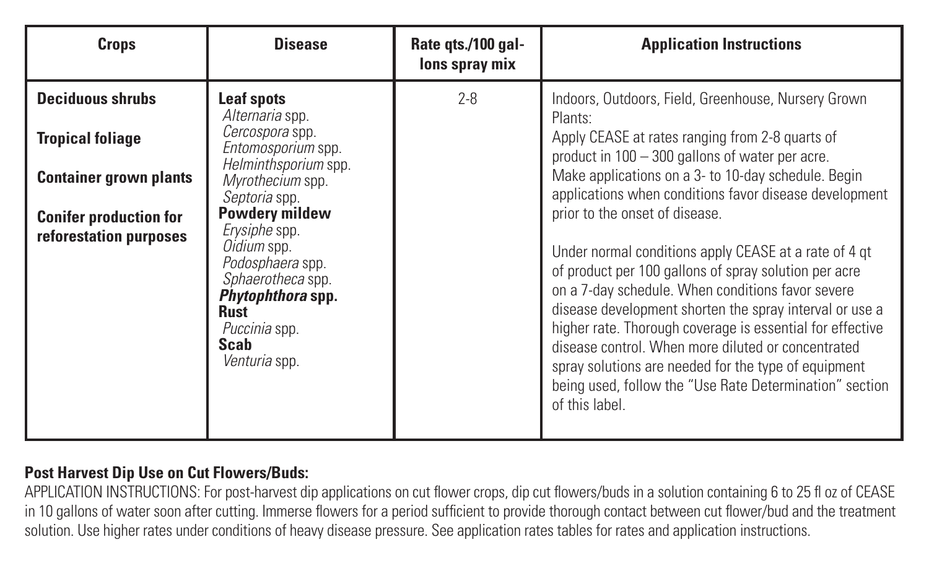| Crops                                                                                                                                          | <b>Disease</b>                                                                                                                                                                                                                                                                                        | Rate gts./100 gal-<br>lons spray mix | <b>Application Instructions</b>                                                                                                                                                                                                                                                                                                                                                                                                                                                                                                                                                                                                                                                                                                                                                                                   |
|------------------------------------------------------------------------------------------------------------------------------------------------|-------------------------------------------------------------------------------------------------------------------------------------------------------------------------------------------------------------------------------------------------------------------------------------------------------|--------------------------------------|-------------------------------------------------------------------------------------------------------------------------------------------------------------------------------------------------------------------------------------------------------------------------------------------------------------------------------------------------------------------------------------------------------------------------------------------------------------------------------------------------------------------------------------------------------------------------------------------------------------------------------------------------------------------------------------------------------------------------------------------------------------------------------------------------------------------|
| <b>Deciduous shrubs</b><br><b>Tropical foliage</b><br><b>Container grown plants</b><br><b>Conifer production for</b><br>reforestation purposes | Leaf spots<br>Alternaria spp.<br>Cercospora spp.<br>Entomosporium spp.<br>Helminthsporium spp.<br>Mvrothecium spp.<br>Septoria spp.<br>Powdery mildew<br>Erysiphe spp.<br>Oidium spp.<br>Podosphaera spp.<br>Sphaerotheca spp.<br>Phytophthora spp.<br>Rust<br>Puccinia spp.<br>Scab<br>Venturia spp. | $2 - 8$                              | Indoors, Outdoors, Field, Greenhouse, Nursery Grown<br>Plants:<br>Apply CEASE at rates ranging from 2-8 quarts of<br>product in 100 - 300 gallons of water per acre.<br>Make applications on a 3- to 10-day schedule. Begin<br>applications when conditions favor disease development<br>prior to the onset of disease.<br>Under normal conditions apply CEASE at a rate of 4 gt<br>of product per 100 gallons of spray solution per acre<br>on a 7-day schedule. When conditions favor severe<br>disease development shorten the spray interval or use a<br>higher rate. Thorough coverage is essential for effective<br>disease control. When more diluted or concentrated<br>spray solutions are needed for the type of equipment<br>being used, follow the "Use Rate Determination" section<br>of this label. |

#### **Post Harvest Dip Use on Cut Flowers/Buds:**

APPLICATION INSTRUCTIONS: For post-harvest dip applications on cut flower crops, dip cut flowers/buds in a solution containing 6 to 25 fl oz of CEASE in 10 gallons of water soon after cutting. Immerse flowers for a period sufficient to provide thorough contact between cut flower/bud and the treatment solution. Use higher rates under conditions of heavy disease pressure. See application rates tables for rates and application instructions.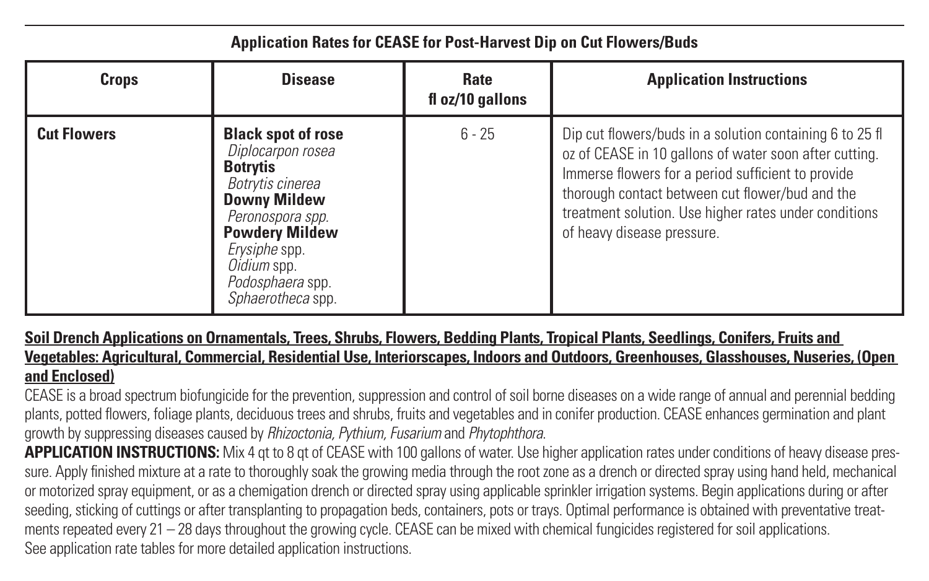#### **Application Rates for CEASE for Post-Harvest Dip on Cut Flowers/Buds**

| Crops              | <b>Disease</b>                                                                                                                                                                                                                     | Rate<br>fl oz/10 gallons | <b>Application Instructions</b>                                                                                                                                                                                                                                                                                    |
|--------------------|------------------------------------------------------------------------------------------------------------------------------------------------------------------------------------------------------------------------------------|--------------------------|--------------------------------------------------------------------------------------------------------------------------------------------------------------------------------------------------------------------------------------------------------------------------------------------------------------------|
| <b>Cut Flowers</b> | <b>Black spot of rose</b><br>Diplocarpon rosea<br><b>Botrytis</b><br>Botrytis cinerea<br><b>Downy Mildew</b><br>Peronospora spp.<br><b>Powdery Mildew</b><br>Erysiphe spp.<br>Oidium spp.<br>Podosphaera spp.<br>Sphaerotheca spp. | $6 - 25$                 | Dip cut flowers/buds in a solution containing 6 to 25 fl<br>oz of CEASE in 10 gallons of water soon after cutting.<br>Immerse flowers for a period sufficient to provide<br>thorough contact between cut flower/bud and the<br>treatment solution. Use higher rates under conditions<br>of heavy disease pressure. |

#### **Soil Drench Applications on Ornamentals, Trees, Shrubs, Flowers, Bedding Plants, Tropical Plants, Seedlings, Conifers, Fruits and Vegetables: Agricultural, Commercial, Residential Use, Interiorscapes, Indoors and Outdoors, Greenhouses, Glasshouses, Nuseries, (Open and Enclosed)**

CEASE is a broad spectrum biofungicide for the prevention, suppression and control of soil borne diseases on a wide range of annual and perennial bedding plants, potted flowers, foliage plants, deciduous trees and shrubs, fruits and vegetables and in conifer production. CEASE enhances germination and plant growth by suppressing diseases caused by *Rhizoctonia, Pythium, Fusarium* and *Phytophthora*.

**APPLICATION INSTRUCTIONS:** Mix 4 at to 8 at of CEASE with 100 gallons of water. Use higher application rates under conditions of heavy disease pressure. Apply finished mixture at a rate to thoroughly soak the growing media through the root zone as a drench or directed spray using hand held, mechanical or motorized spray equipment, or as a chemigation drench or directed spray using applicable sprinkler irrigation systems. Begin applications during or after seeding, sticking of cuttings or after transplanting to propagation beds, containers, pots or trays. Optimal performance is obtained with preventative treatments repeated every 21 – 28 days throughout the growing cycle. CEASE can be mixed with chemical fungicides registered for soil applications. See application rate tables for more detailed application instructions.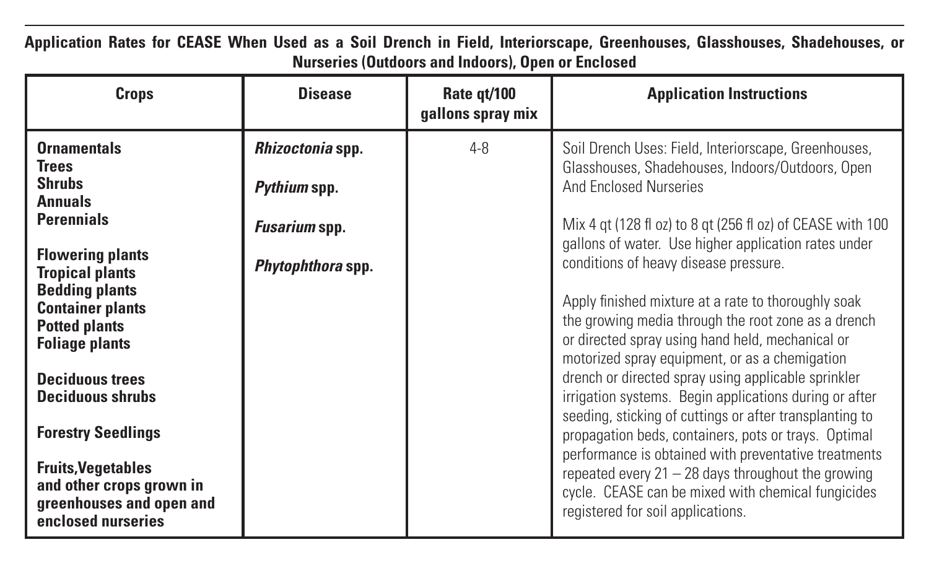| Crops                                                                                                   | <b>Disease</b>    | Rate gt/100<br>gallons spray mix | <b>Application Instructions</b>                                                                                                                                                                                  |  |
|---------------------------------------------------------------------------------------------------------|-------------------|----------------------------------|------------------------------------------------------------------------------------------------------------------------------------------------------------------------------------------------------------------|--|
| <b>Ornamentals</b><br><b>Trees</b>                                                                      | Rhizoctonia spp.  | $4 - 8$                          | Soil Drench Uses: Field, Interiorscape, Greenhouses,<br>Glasshouses, Shadehouses, Indoors/Outdoors, Open                                                                                                         |  |
| <b>Shrubs</b><br><b>Annuals</b>                                                                         | Pythium spp.      |                                  | And Enclosed Nurseries                                                                                                                                                                                           |  |
| <b>Perennials</b>                                                                                       | Fusarium spp.     |                                  | Mix 4 gt (128 fl oz) to 8 gt (256 fl oz) of CEASE with 100<br>gallons of water. Use higher application rates under                                                                                               |  |
| <b>Flowering plants</b><br><b>Tropical plants</b>                                                       | Phytophthora spp. |                                  | conditions of heavy disease pressure.                                                                                                                                                                            |  |
| <b>Bedding plants</b><br><b>Container plants</b><br><b>Potted plants</b><br><b>Foliage plants</b>       |                   |                                  | Apply finished mixture at a rate to thoroughly soak<br>the growing media through the root zone as a drench<br>or directed spray using hand held, mechanical or<br>motorized spray equipment, or as a chemigation |  |
| <b>Deciduous trees</b><br><b>Deciduous shrubs</b>                                                       |                   |                                  | drench or directed spray using applicable sprinkler<br>irrigation systems. Begin applications during or after<br>seeding, sticking of cuttings or after transplanting to                                         |  |
| <b>Forestry Seedlings</b>                                                                               |                   |                                  | propagation beds, containers, pots or trays. Optimal                                                                                                                                                             |  |
| <b>Fruits, Vegetables</b><br>and other crops grown in<br>greenhouses and open and<br>enclosed nurseries |                   |                                  | performance is obtained with preventative treatments<br>repeated every $21 - 28$ days throughout the growing<br>cycle. CEASE can be mixed with chemical fungicides<br>registered for soil applications.          |  |

**Application Rates for CEASE When Used as a Soil Drench in Field, Interiorscape, Greenhouses, Glasshouses, Shadehouses, or Nurseries (Outdoors and Indoors), Open or Enclosed**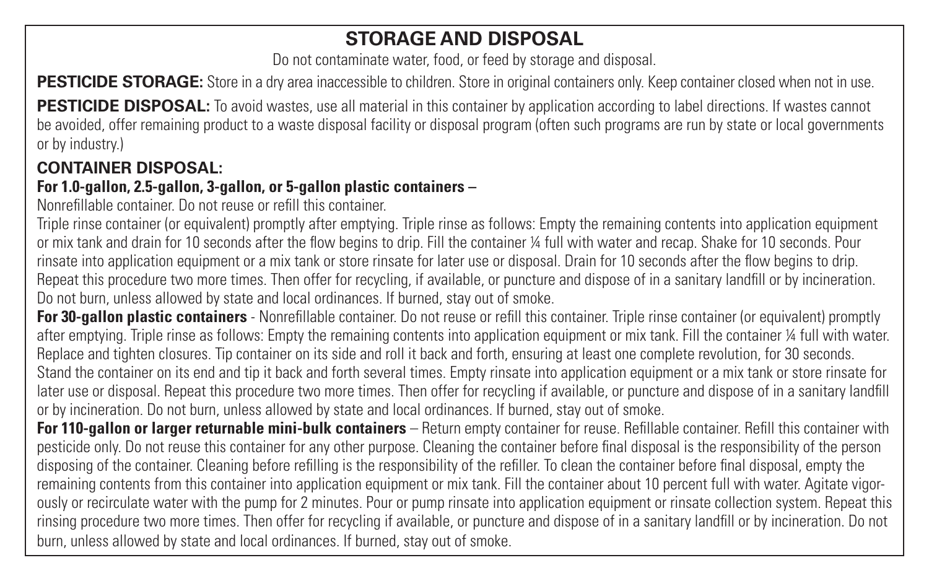#### **STORAGE AND DISPOSAL**

Do not contaminate water, food, or feed by storage and disposal.

**PESTICIDE STORAGE:** Store in a dry area inaccessible to children. Store in original containers only. Keep container closed when not in use.

**PESTICIDE DISPOSAL:** To avoid wastes, use all material in this container by application according to label directions. If wastes cannot be avoided, offer remaining product to a waste disposal facility or disposal program (often such programs are run by state or local governments or by industry.)

#### **CONTAINER DISPOSAL:**

#### **For 1.0-gallon, 2.5-gallon, 3-gallon, or 5-gallon plastic containers –**

Nonrefillable container. Do not reuse or refill this container.

Triple rinse container (or equivalent) promptly after emptying. Triple rinse as follows: Empty the remaining contents into application equipment or mix tank and drain for 10 seconds after the flow begins to drip. Fill the container ¼ full with water and recap. Shake for 10 seconds. Pour rinsate into application equipment or a mix tank or store rinsate for later use or disposal. Drain for 10 seconds after the flow begins to drip. Repeat this procedure two more times. Then offer for recycling, if available, or puncture and dispose of in a sanitary landfill or by incineration. Do not burn, unless allowed by state and local ordinances. If burned, stay out of smoke.

**For 30-gallon plastic containers** - Nonrefillable container. Do not reuse or refill this container. Triple rinse container (or equivalent) promptly after emptying. Triple rinse as follows: Empty the remaining contents into application equipment or mix tank. Fill the container ¼ full with water. Replace and tighten closures. Tip container on its side and roll it back and forth, ensuring at least one complete revolution, for 30 seconds. Stand the container on its end and tip it back and forth several times. Empty rinsate into application equipment or a mix tank or store rinsate for later use or disposal. Repeat this procedure two more times. Then offer for recycling if available, or puncture and dispose of in a sanitary landfill or by incineration. Do not burn, unless allowed by state and local ordinances. If burned, stay out of smoke.

**For 110-gallon or larger returnable mini-bulk containers** – Return empty container for reuse. Refillable container. Refill this container with pesticide only. Do not reuse this container for any other purpose. Cleaning the container before final disposal is the responsibility of the person disposing of the container. Cleaning before refilling is the responsibility of the refiller. To clean the container before final disposal, empty the remaining contents from this container into application equipment or mix tank. Fill the container about 10 percent full with water. Agitate vigorously or recirculate water with the pump for 2 minutes. Pour or pump rinsate into application equipment or rinsate collection system. Repeat this rinsing procedure two more times. Then offer for recycling if available, or puncture and dispose of in a sanitary landfill or by incineration. Do not burn, unless allowed by state and local ordinances. If burned, stay out of smoke.